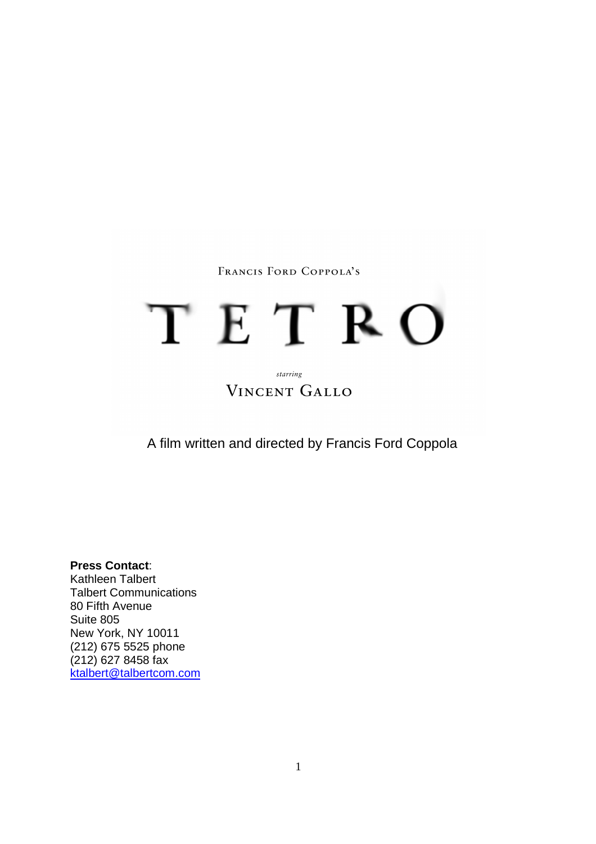# FRANCIS FORD COPPOLA'S

# TETRO

# starring **VINCENT GALLO**

A film written and directed by Francis Ford Coppola

**Press Contact**: Kathleen Talbert Talbert Communications 80 Fifth Avenue Suite 805 New York, NY 10011 (212) 675 5525 phone (212) 627 8458 fax ktalbert@talbertcom.com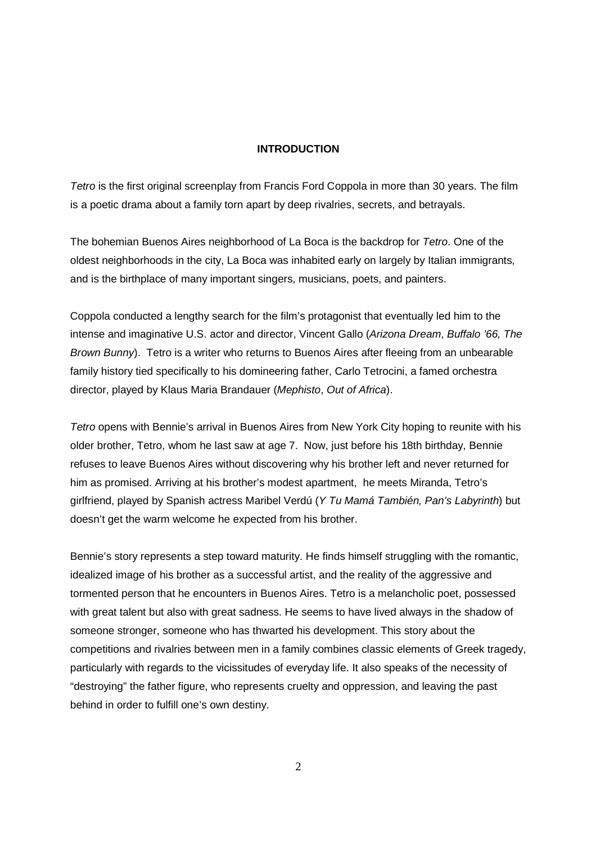### **INTRODUCTION**

Tetro is the first original screenplay from Francis Ford Coppola in more than 30 years. The film is a poetic drama about a family torn apart by deep rivalries, secrets, and betrayals.

The bohemian Buenos Aires neighborhood of La Boca is the backdrop for Tetro. One of the oldest neighborhoods in the city, La Boca was inhabited early on largely by Italian immigrants, and is the birthplace of many important singers, musicians, poets, and painters.

Coppola conducted a lengthy search for the film's protagonist that eventually led him to the intense and imaginative U.S. actor and director, Vincent Gallo (Arizona Dream, Buffalo '66, The Brown Bunny). Tetro is a writer who returns to Buenos Aires after fleeing from an unbearable family history tied specifically to his domineering father, Carlo Tetrocini, a famed orchestra director, played by Klaus Maria Brandauer (Mephisto, Out of Africa).

Tetro opens with Bennie's arrival in Buenos Aires from New York City hoping to reunite with his older brother, Tetro, whom he last saw at age 7. Now, just before his 18th birthday, Bennie refuses to leave Buenos Aires without discovering why his brother left and never returned for him as promised. Arriving at his brother's modest apartment, he meets Miranda, Tetro's girlfriend, played by Spanish actress Maribel Verdú (Y Tu Mamá También, Pan's Labyrinth) but doesn't get the warm welcome he expected from his brother.

Bennie's story represents a step toward maturity. He finds himself struggling with the romantic, idealized image of his brother as a successful artist, and the reality of the aggressive and tormented person that he encounters in Buenos Aires. Tetro is a melancholic poet, possessed with great talent but also with great sadness. He seems to have lived always in the shadow of someone stronger, someone who has thwarted his development. This story about the competitions and rivalries between men in a family combines classic elements of Greek tragedy, particularly with regards to the vicissitudes of everyday life. It also speaks of the necessity of "destroying" the father figure, who represents cruelty and oppression, and leaving the past behind in order to fulfill one's own destiny.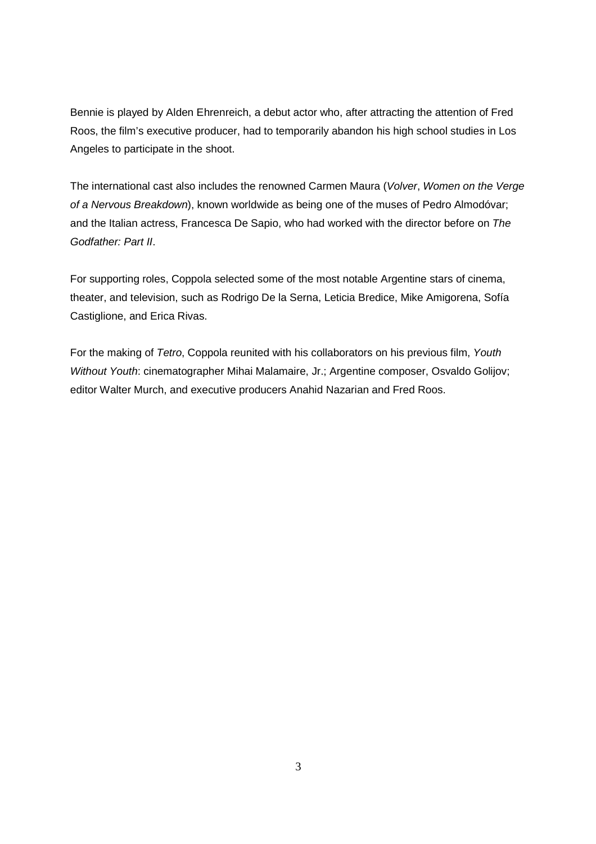Bennie is played by Alden Ehrenreich, a debut actor who, after attracting the attention of Fred Roos, the film's executive producer, had to temporarily abandon his high school studies in Los Angeles to participate in the shoot.

The international cast also includes the renowned Carmen Maura (Volver, Women on the Verge of a Nervous Breakdown), known worldwide as being one of the muses of Pedro Almodóvar; and the Italian actress, Francesca De Sapio, who had worked with the director before on The Godfather: Part II.

For supporting roles, Coppola selected some of the most notable Argentine stars of cinema, theater, and television, such as Rodrigo De la Serna, Leticia Bredice, Mike Amigorena, Sofía Castiglione, and Erica Rivas.

For the making of Tetro, Coppola reunited with his collaborators on his previous film, Youth Without Youth: cinematographer Mihai Malamaire, Jr.; Argentine composer, Osvaldo Golijov; editor Walter Murch, and executive producers Anahid Nazarian and Fred Roos.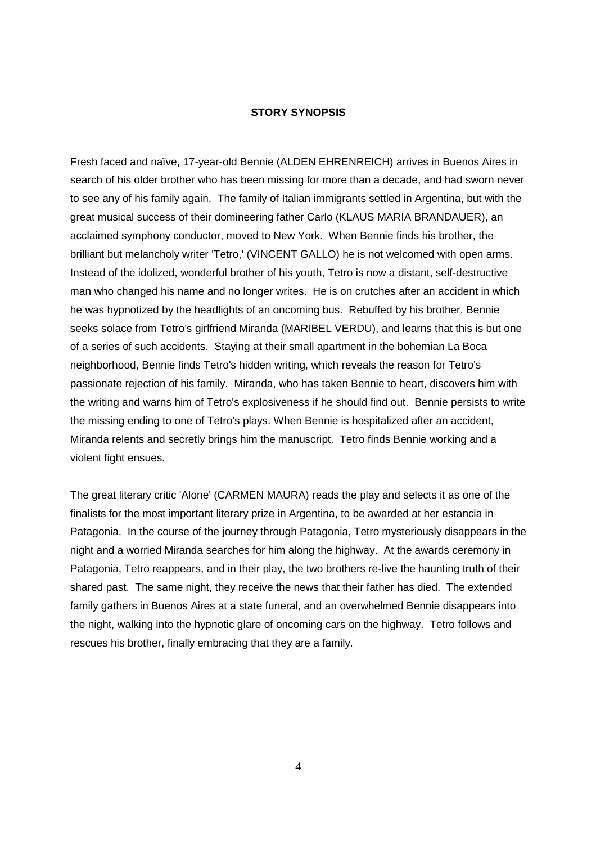### **STORY SYNOPSIS**

Fresh faced and naïve, 17-year-old Bennie (ALDEN EHRENREICH) arrives in Buenos Aires in search of his older brother who has been missing for more than a decade, and had sworn never to see any of his family again. The family of Italian immigrants settled in Argentina, but with the great musical success of their domineering father Carlo (KLAUS MARIA BRANDAUER), an acclaimed symphony conductor, moved to New York. When Bennie finds his brother, the brilliant but melancholy writer 'Tetro,' (VINCENT GALLO) he is not welcomed with open arms. Instead of the idolized, wonderful brother of his youth, Tetro is now a distant, self-destructive man who changed his name and no longer writes. He is on crutches after an accident in which he was hypnotized by the headlights of an oncoming bus. Rebuffed by his brother, Bennie seeks solace from Tetro's girlfriend Miranda (MARIBEL VERDU), and learns that this is but one of a series of such accidents. Staying at their small apartment in the bohemian La Boca neighborhood, Bennie finds Tetro's hidden writing, which reveals the reason for Tetro's passionate rejection of his family. Miranda, who has taken Bennie to heart, discovers him with the writing and warns him of Tetro's explosiveness if he should find out. Bennie persists to write the missing ending to one of Tetro's plays. When Bennie is hospitalized after an accident, Miranda relents and secretly brings him the manuscript. Tetro finds Bennie working and a violent fight ensues.

The great literary critic 'Alone' (CARMEN MAURA) reads the play and selects it as one of the finalists for the most important literary prize in Argentina, to be awarded at her estancia in Patagonia. In the course of the journey through Patagonia, Tetro mysteriously disappears in the night and a worried Miranda searches for him along the highway. At the awards ceremony in Patagonia, Tetro reappears, and in their play, the two brothers re-live the haunting truth of their shared past. The same night, they receive the news that their father has died. The extended family gathers in Buenos Aires at a state funeral, and an overwhelmed Bennie disappears into the night, walking into the hypnotic glare of oncoming cars on the highway. Tetro follows and rescues his brother, finally embracing that they are a family.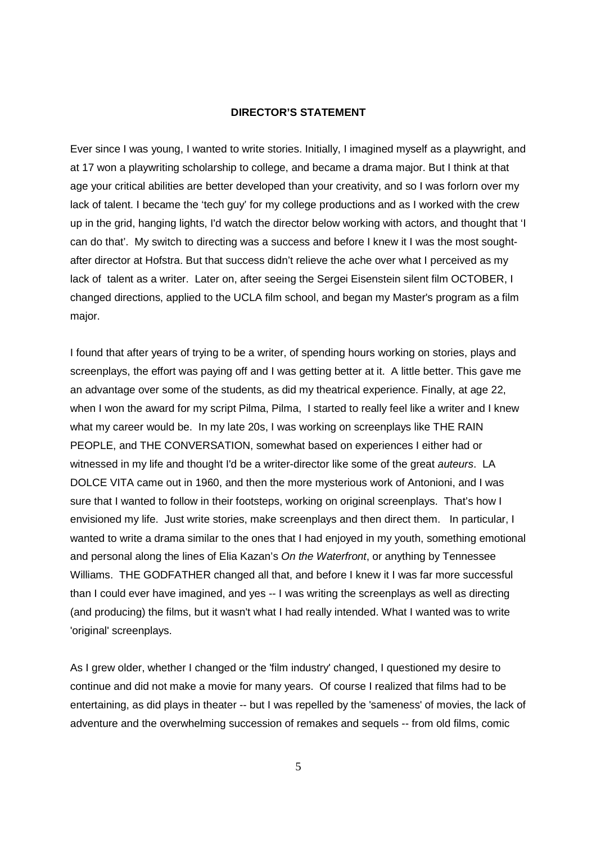### **DIRECTOR'S STATEMENT**

Ever since I was young, I wanted to write stories. Initially, I imagined myself as a playwright, and at 17 won a playwriting scholarship to college, and became a drama major. But I think at that age your critical abilities are better developed than your creativity, and so I was forlorn over my lack of talent. I became the 'tech guy' for my college productions and as I worked with the crew up in the grid, hanging lights, I'd watch the director below working with actors, and thought that 'I can do that'. My switch to directing was a success and before I knew it I was the most soughtafter director at Hofstra. But that success didn't relieve the ache over what I perceived as my lack of talent as a writer. Later on, after seeing the Sergei Eisenstein silent film OCTOBER, I changed directions, applied to the UCLA film school, and began my Master's program as a film major.

I found that after years of trying to be a writer, of spending hours working on stories, plays and screenplays, the effort was paying off and I was getting better at it. A little better. This gave me an advantage over some of the students, as did my theatrical experience. Finally, at age 22, when I won the award for my script Pilma, Pilma, I started to really feel like a writer and I knew what my career would be. In my late 20s, I was working on screenplays like THE RAIN PEOPLE, and THE CONVERSATION, somewhat based on experiences I either had or witnessed in my life and thought I'd be a writer-director like some of the great auteurs. LA DOLCE VITA came out in 1960, and then the more mysterious work of Antonioni, and I was sure that I wanted to follow in their footsteps, working on original screenplays. That's how I envisioned my life. Just write stories, make screenplays and then direct them. In particular, I wanted to write a drama similar to the ones that I had enjoyed in my youth, something emotional and personal along the lines of Elia Kazan's On the Waterfront, or anything by Tennessee Williams. THE GODFATHER changed all that, and before I knew it I was far more successful than I could ever have imagined, and yes -- I was writing the screenplays as well as directing (and producing) the films, but it wasn't what I had really intended. What I wanted was to write 'original' screenplays.

As I grew older, whether I changed or the 'film industry' changed, I questioned my desire to continue and did not make a movie for many years. Of course I realized that films had to be entertaining, as did plays in theater -- but I was repelled by the 'sameness' of movies, the lack of adventure and the overwhelming succession of remakes and sequels -- from old films, comic

5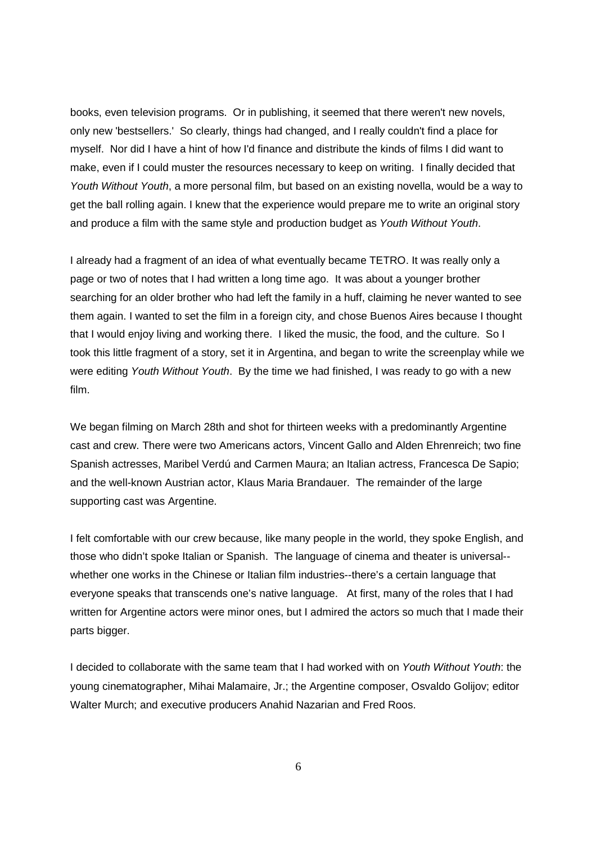books, even television programs. Or in publishing, it seemed that there weren't new novels, only new 'bestsellers.' So clearly, things had changed, and I really couldn't find a place for myself. Nor did I have a hint of how I'd finance and distribute the kinds of films I did want to make, even if I could muster the resources necessary to keep on writing. I finally decided that Youth Without Youth, a more personal film, but based on an existing novella, would be a way to get the ball rolling again. I knew that the experience would prepare me to write an original story and produce a film with the same style and production budget as Youth Without Youth.

I already had a fragment of an idea of what eventually became TETRO. It was really only a page or two of notes that I had written a long time ago. It was about a younger brother searching for an older brother who had left the family in a huff, claiming he never wanted to see them again. I wanted to set the film in a foreign city, and chose Buenos Aires because I thought that I would enjoy living and working there. I liked the music, the food, and the culture. So I took this little fragment of a story, set it in Argentina, and began to write the screenplay while we were editing Youth Without Youth. By the time we had finished, I was ready to go with a new film.

We began filming on March 28th and shot for thirteen weeks with a predominantly Argentine cast and crew. There were two Americans actors, Vincent Gallo and Alden Ehrenreich; two fine Spanish actresses, Maribel Verdú and Carmen Maura; an Italian actress, Francesca De Sapio; and the well-known Austrian actor, Klaus Maria Brandauer. The remainder of the large supporting cast was Argentine.

I felt comfortable with our crew because, like many people in the world, they spoke English, and those who didn't spoke Italian or Spanish. The language of cinema and theater is universal- whether one works in the Chinese or Italian film industries--there's a certain language that everyone speaks that transcends one's native language. At first, many of the roles that I had written for Argentine actors were minor ones, but I admired the actors so much that I made their parts bigger.

I decided to collaborate with the same team that I had worked with on Youth Without Youth: the young cinematographer, Mihai Malamaire, Jr.; the Argentine composer, Osvaldo Golijov; editor Walter Murch; and executive producers Anahid Nazarian and Fred Roos.

6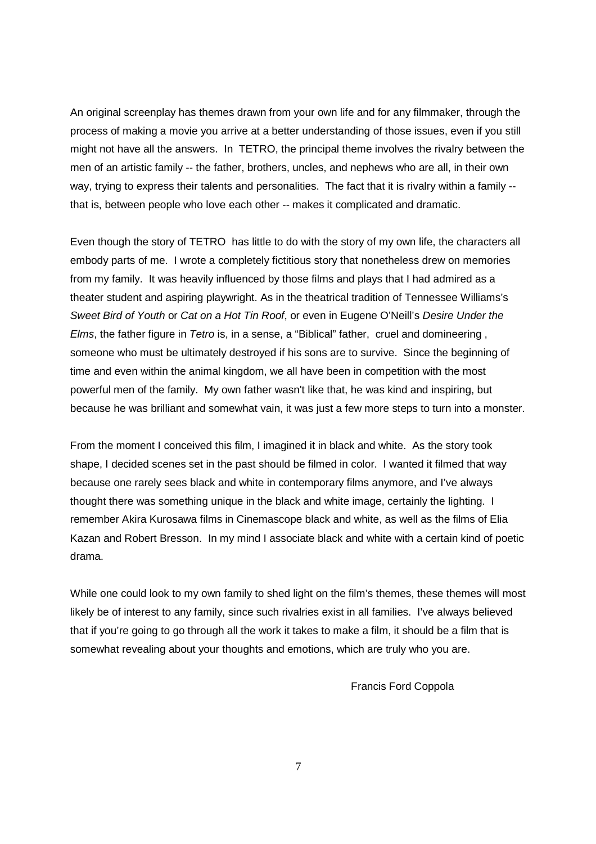An original screenplay has themes drawn from your own life and for any filmmaker, through the process of making a movie you arrive at a better understanding of those issues, even if you still might not have all the answers. In TETRO, the principal theme involves the rivalry between the men of an artistic family -- the father, brothers, uncles, and nephews who are all, in their own way, trying to express their talents and personalities. The fact that it is rivalry within a family - that is, between people who love each other -- makes it complicated and dramatic.

Even though the story of TETRO has little to do with the story of my own life, the characters all embody parts of me. I wrote a completely fictitious story that nonetheless drew on memories from my family. It was heavily influenced by those films and plays that I had admired as a theater student and aspiring playwright. As in the theatrical tradition of Tennessee Williams's Sweet Bird of Youth or Cat on a Hot Tin Roof, or even in Eugene O'Neill's Desire Under the Elms, the father figure in Tetro is, in a sense, a "Biblical" father, cruel and domineering , someone who must be ultimately destroyed if his sons are to survive. Since the beginning of time and even within the animal kingdom, we all have been in competition with the most powerful men of the family. My own father wasn't like that, he was kind and inspiring, but because he was brilliant and somewhat vain, it was just a few more steps to turn into a monster.

From the moment I conceived this film, I imagined it in black and white. As the story took shape, I decided scenes set in the past should be filmed in color. I wanted it filmed that way because one rarely sees black and white in contemporary films anymore, and I've always thought there was something unique in the black and white image, certainly the lighting. I remember Akira Kurosawa films in Cinemascope black and white, as well as the films of Elia Kazan and Robert Bresson. In my mind I associate black and white with a certain kind of poetic drama.

While one could look to my own family to shed light on the film's themes, these themes will most likely be of interest to any family, since such rivalries exist in all families. I've always believed that if you're going to go through all the work it takes to make a film, it should be a film that is somewhat revealing about your thoughts and emotions, which are truly who you are.

Francis Ford Coppola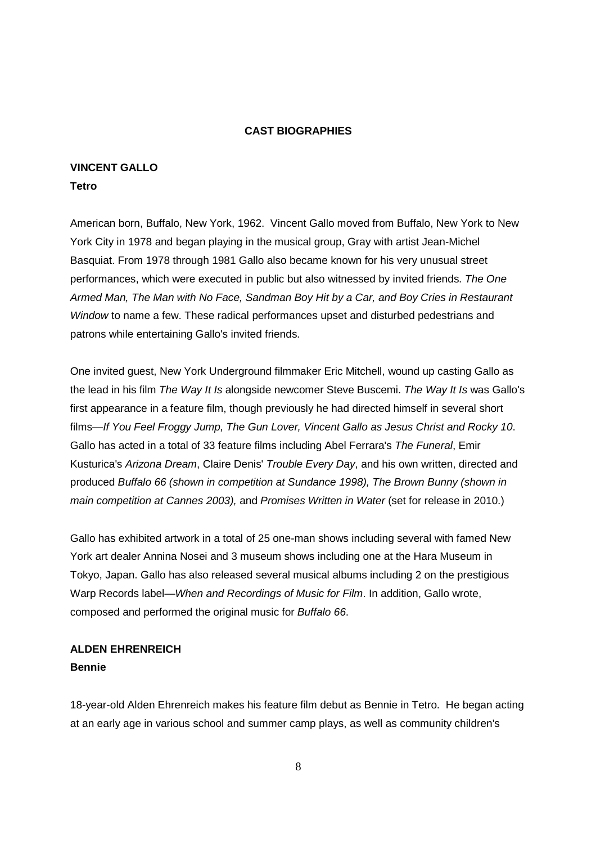# **CAST BIOGRAPHIES**

# **VINCENT GALLO**

# **Tetro**

American born, Buffalo, New York, 1962. Vincent Gallo moved from Buffalo, New York to New York City in 1978 and began playing in the musical group, Gray with artist Jean-Michel Basquiat. From 1978 through 1981 Gallo also became known for his very unusual street performances, which were executed in public but also witnessed by invited friends. The One Armed Man, The Man with No Face, Sandman Boy Hit by a Car, and Boy Cries in Restaurant Window to name a few. These radical performances upset and disturbed pedestrians and patrons while entertaining Gallo's invited friends.

One invited guest, New York Underground filmmaker Eric Mitchell, wound up casting Gallo as the lead in his film The Way It Is alongside newcomer Steve Buscemi. The Way It Is was Gallo's first appearance in a feature film, though previously he had directed himself in several short films—If You Feel Froggy Jump, The Gun Lover, Vincent Gallo as Jesus Christ and Rocky 10. Gallo has acted in a total of 33 feature films including Abel Ferrara's The Funeral, Emir Kusturica's Arizona Dream, Claire Denis' Trouble Every Day, and his own written, directed and produced Buffalo 66 (shown in competition at Sundance 1998), The Brown Bunny (shown in main competition at Cannes 2003), and Promises Written in Water (set for release in 2010.)

Gallo has exhibited artwork in a total of 25 one-man shows including several with famed New York art dealer Annina Nosei and 3 museum shows including one at the Hara Museum in Tokyo, Japan. Gallo has also released several musical albums including 2 on the prestigious Warp Records label—When and Recordings of Music for Film. In addition, Gallo wrote, composed and performed the original music for Buffalo 66.

# **ALDEN EHRENREICH Bennie**

18-year-old Alden Ehrenreich makes his feature film debut as Bennie in Tetro. He began acting at an early age in various school and summer camp plays, as well as community children's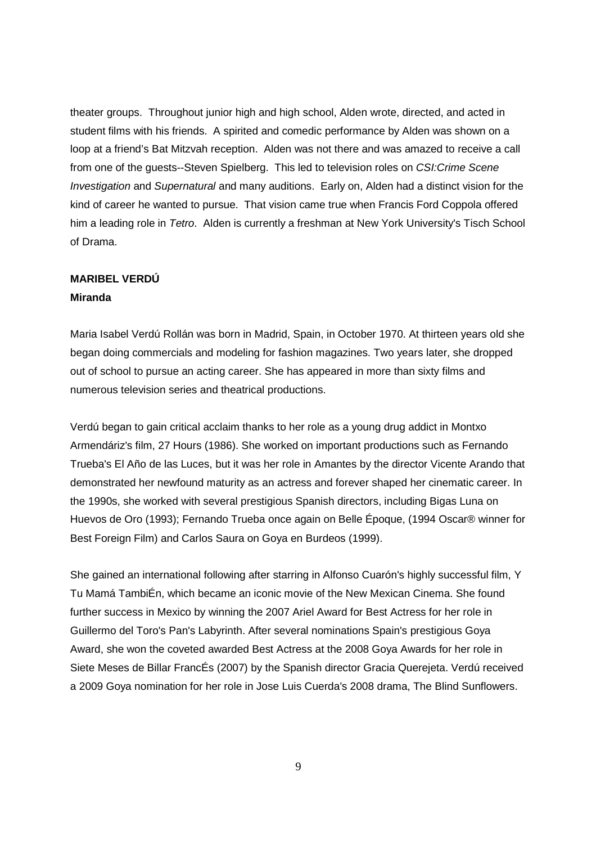theater groups. Throughout junior high and high school, Alden wrote, directed, and acted in student films with his friends. A spirited and comedic performance by Alden was shown on a loop at a friend's Bat Mitzvah reception. Alden was not there and was amazed to receive a call from one of the guests--Steven Spielberg. This led to television roles on CSI:Crime Scene Investigation and Supernatural and many auditions. Early on, Alden had a distinct vision for the kind of career he wanted to pursue. That vision came true when Francis Ford Coppola offered him a leading role in Tetro. Alden is currently a freshman at New York University's Tisch School of Drama.

# **MARIBEL VERDÚ**

# **Miranda**

Maria Isabel Verdú Rollán was born in Madrid, Spain, in October 1970. At thirteen years old she began doing commercials and modeling for fashion magazines. Two years later, she dropped out of school to pursue an acting career. She has appeared in more than sixty films and numerous television series and theatrical productions.

Verdú began to gain critical acclaim thanks to her role as a young drug addict in Montxo Armendáriz's film, 27 Hours (1986). She worked on important productions such as Fernando Trueba's El Año de las Luces, but it was her role in Amantes by the director Vicente Arando that demonstrated her newfound maturity as an actress and forever shaped her cinematic career. In the 1990s, she worked with several prestigious Spanish directors, including Bigas Luna on Huevos de Oro (1993); Fernando Trueba once again on Belle Époque, (1994 Oscar® winner for Best Foreign Film) and Carlos Saura on Goya en Burdeos (1999).

She gained an international following after starring in Alfonso Cuarón's highly successful film, Y Tu Mamá TambiÉn, which became an iconic movie of the New Mexican Cinema. She found further success in Mexico by winning the 2007 Ariel Award for Best Actress for her role in Guillermo del Toro's Pan's Labyrinth. After several nominations Spain's prestigious Goya Award, she won the coveted awarded Best Actress at the 2008 Goya Awards for her role in Siete Meses de Billar FrancÉs (2007) by the Spanish director Gracia Querejeta. Verdú received a 2009 Goya nomination for her role in Jose Luis Cuerda's 2008 drama, The Blind Sunflowers.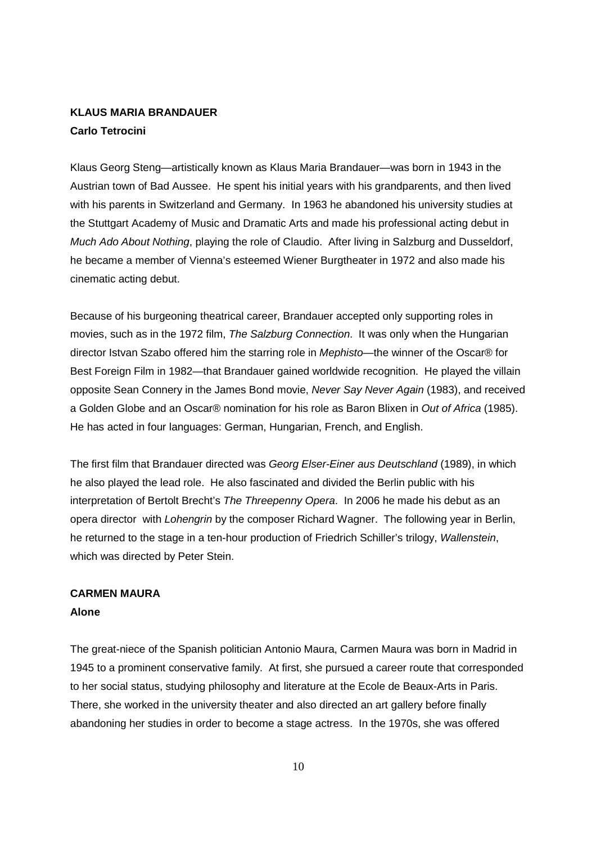# **KLAUS MARIA BRANDAUER Carlo Tetrocini**

Klaus Georg Steng—artistically known as Klaus Maria Brandauer—was born in 1943 in the Austrian town of Bad Aussee. He spent his initial years with his grandparents, and then lived with his parents in Switzerland and Germany. In 1963 he abandoned his university studies at the Stuttgart Academy of Music and Dramatic Arts and made his professional acting debut in Much Ado About Nothing, playing the role of Claudio. After living in Salzburg and Dusseldorf, he became a member of Vienna's esteemed Wiener Burgtheater in 1972 and also made his cinematic acting debut.

Because of his burgeoning theatrical career, Brandauer accepted only supporting roles in movies, such as in the 1972 film, The Salzburg Connection. It was only when the Hungarian director Istvan Szabo offered him the starring role in Mephisto—the winner of the Oscar® for Best Foreign Film in 1982—that Brandauer gained worldwide recognition. He played the villain opposite Sean Connery in the James Bond movie, Never Say Never Again (1983), and received a Golden Globe and an Oscar® nomination for his role as Baron Blixen in Out of Africa (1985). He has acted in four languages: German, Hungarian, French, and English.

The first film that Brandauer directed was Georg Elser-Einer aus Deutschland (1989), in which he also played the lead role. He also fascinated and divided the Berlin public with his interpretation of Bertolt Brecht's The Threepenny Opera. In 2006 he made his debut as an opera director with Lohengrin by the composer Richard Wagner. The following year in Berlin, he returned to the stage in a ten-hour production of Friedrich Schiller's trilogy, Wallenstein, which was directed by Peter Stein.

# **CARMEN MAURA Alone**

The great-niece of the Spanish politician Antonio Maura, Carmen Maura was born in Madrid in 1945 to a prominent conservative family. At first, she pursued a career route that corresponded to her social status, studying philosophy and literature at the Ecole de Beaux-Arts in Paris. There, she worked in the university theater and also directed an art gallery before finally abandoning her studies in order to become a stage actress. In the 1970s, she was offered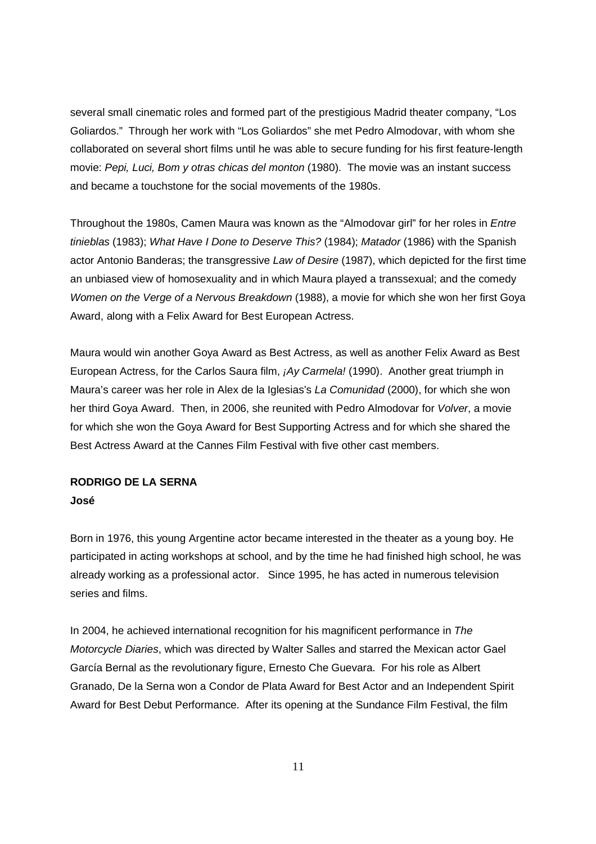several small cinematic roles and formed part of the prestigious Madrid theater company, "Los Goliardos." Through her work with "Los Goliardos" she met Pedro Almodovar, with whom she collaborated on several short films until he was able to secure funding for his first feature-length movie: Pepi, Luci, Bom y otras chicas del monton (1980). The movie was an instant success and became a touchstone for the social movements of the 1980s.

Throughout the 1980s, Camen Maura was known as the "Almodovar girl" for her roles in Entre tinieblas (1983); What Have I Done to Deserve This? (1984); Matador (1986) with the Spanish actor Antonio Banderas; the transgressive Law of Desire (1987), which depicted for the first time an unbiased view of homosexuality and in which Maura played a transsexual; and the comedy Women on the Verge of a Nervous Breakdown (1988), a movie for which she won her first Goya Award, along with a Felix Award for Best European Actress.

Maura would win another Goya Award as Best Actress, as well as another Felix Award as Best European Actress, for the Carlos Saura film, ¡Ay Carmela! (1990). Another great triumph in Maura's career was her role in Alex de la Iglesias's La Comunidad (2000), for which she won her third Goya Award. Then, in 2006, she reunited with Pedro Almodovar for Volver, a movie for which she won the Goya Award for Best Supporting Actress and for which she shared the Best Actress Award at the Cannes Film Festival with five other cast members.

# **RODRIGO DE LA SERNA José**

Born in 1976, this young Argentine actor became interested in the theater as a young boy. He participated in acting workshops at school, and by the time he had finished high school, he was already working as a professional actor. Since 1995, he has acted in numerous television series and films.

In 2004, he achieved international recognition for his magnificent performance in The Motorcycle Diaries, which was directed by Walter Salles and starred the Mexican actor Gael García Bernal as the revolutionary figure, Ernesto Che Guevara. For his role as Albert Granado, De la Serna won a Condor de Plata Award for Best Actor and an Independent Spirit Award for Best Debut Performance. After its opening at the Sundance Film Festival, the film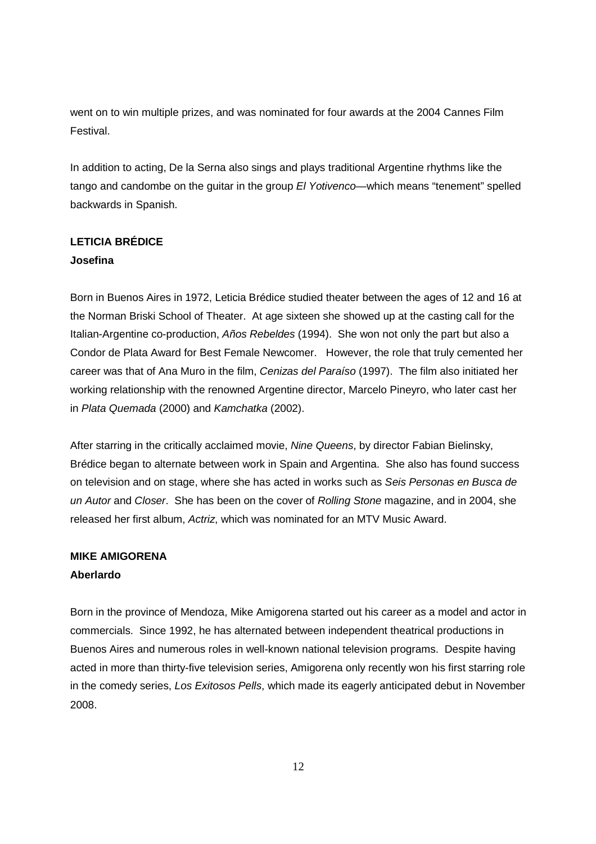went on to win multiple prizes, and was nominated for four awards at the 2004 Cannes Film Festival.

In addition to acting, De la Serna also sings and plays traditional Argentine rhythms like the tango and candombe on the guitar in the group El Yotivenco—which means "tenement" spelled backwards in Spanish.

# **LETICIA BRÉDICE Josefina**

Born in Buenos Aires in 1972, Leticia Brédice studied theater between the ages of 12 and 16 at the Norman Briski School of Theater. At age sixteen she showed up at the casting call for the Italian-Argentine co-production, Años Rebeldes (1994). She won not only the part but also a Condor de Plata Award for Best Female Newcomer. However, the role that truly cemented her career was that of Ana Muro in the film, Cenizas del Paraíso (1997). The film also initiated her working relationship with the renowned Argentine director, Marcelo Pineyro, who later cast her in Plata Quemada (2000) and Kamchatka (2002).

After starring in the critically acclaimed movie, Nine Queens, by director Fabian Bielinsky, Brédice began to alternate between work in Spain and Argentina. She also has found success on television and on stage, where she has acted in works such as Seis Personas en Busca de un Autor and Closer. She has been on the cover of Rolling Stone magazine, and in 2004, she released her first album, Actriz, which was nominated for an MTV Music Award.

# **MIKE AMIGORENA Aberlardo**

Born in the province of Mendoza, Mike Amigorena started out his career as a model and actor in commercials. Since 1992, he has alternated between independent theatrical productions in Buenos Aires and numerous roles in well-known national television programs. Despite having acted in more than thirty-five television series, Amigorena only recently won his first starring role in the comedy series, Los Exitosos Pells, which made its eagerly anticipated debut in November 2008.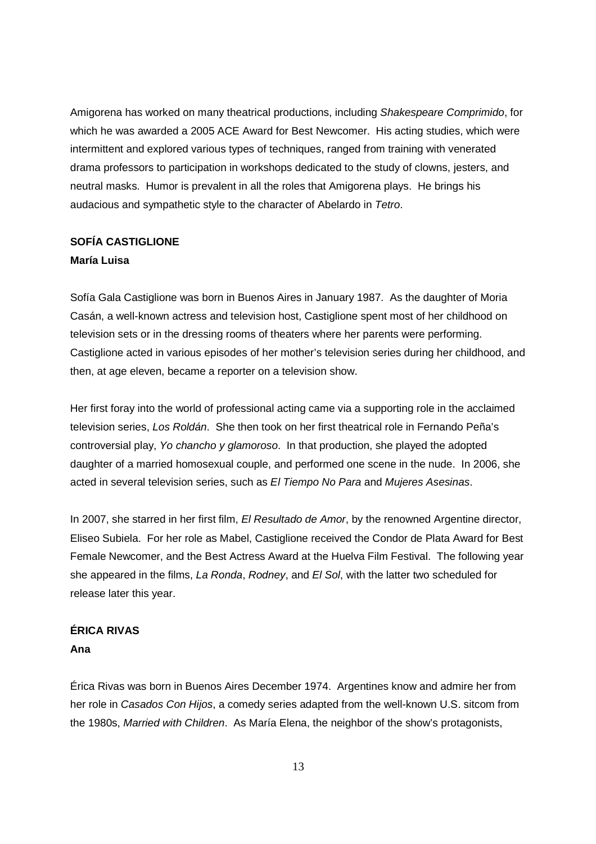Amigorena has worked on many theatrical productions, including Shakespeare Comprimido, for which he was awarded a 2005 ACE Award for Best Newcomer. His acting studies, which were intermittent and explored various types of techniques, ranged from training with venerated drama professors to participation in workshops dedicated to the study of clowns, jesters, and neutral masks. Humor is prevalent in all the roles that Amigorena plays. He brings his audacious and sympathetic style to the character of Abelardo in Tetro.

# **SOFÍA CASTIGLIONE María Luisa**

Sofía Gala Castiglione was born in Buenos Aires in January 1987. As the daughter of Moria Casán, a well-known actress and television host, Castiglione spent most of her childhood on television sets or in the dressing rooms of theaters where her parents were performing. Castiglione acted in various episodes of her mother's television series during her childhood, and then, at age eleven, became a reporter on a television show.

Her first foray into the world of professional acting came via a supporting role in the acclaimed television series, Los Roldán. She then took on her first theatrical role in Fernando Peña's controversial play, Yo chancho y glamoroso. In that production, she played the adopted daughter of a married homosexual couple, and performed one scene in the nude. In 2006, she acted in several television series, such as El Tiempo No Para and Mujeres Asesinas.

In 2007, she starred in her first film, El Resultado de Amor, by the renowned Argentine director, Eliseo Subiela. For her role as Mabel, Castiglione received the Condor de Plata Award for Best Female Newcomer, and the Best Actress Award at the Huelva Film Festival. The following year she appeared in the films, La Ronda, Rodney, and El Sol, with the latter two scheduled for release later this year.

# **ÉRICA RIVAS**

# **Ana**

Érica Rivas was born in Buenos Aires December 1974. Argentines know and admire her from her role in Casados Con Hijos, a comedy series adapted from the well-known U.S. sitcom from the 1980s, Married with Children. As María Elena, the neighbor of the show's protagonists,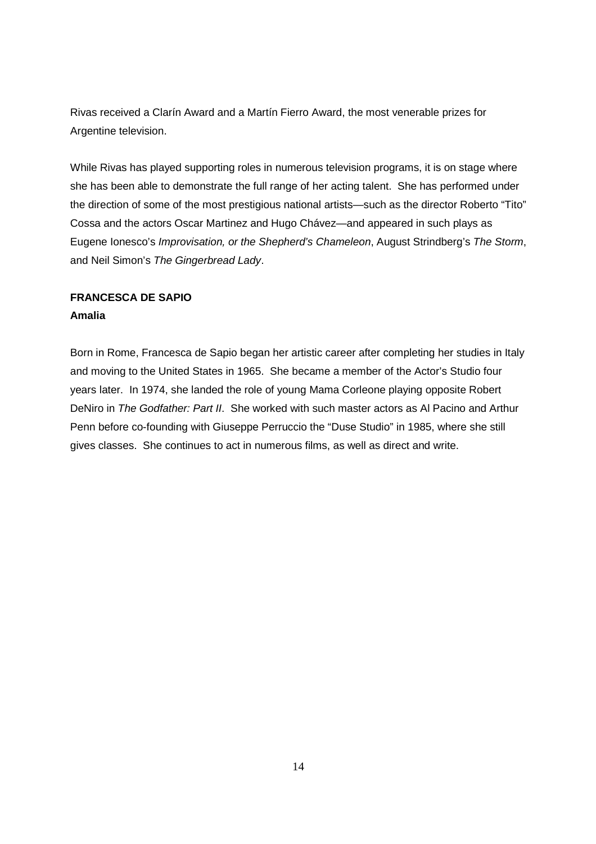Rivas received a Clarín Award and a Martín Fierro Award, the most venerable prizes for Argentine television.

While Rivas has played supporting roles in numerous television programs, it is on stage where she has been able to demonstrate the full range of her acting talent. She has performed under the direction of some of the most prestigious national artists—such as the director Roberto "Tito" Cossa and the actors Oscar Martinez and Hugo Chávez—and appeared in such plays as Eugene Ionesco's Improvisation, or the Shepherd's Chameleon, August Strindberg's The Storm, and Neil Simon's The Gingerbread Lady.

# **FRANCESCA DE SAPIO Amalia**

Born in Rome, Francesca de Sapio began her artistic career after completing her studies in Italy and moving to the United States in 1965. She became a member of the Actor's Studio four years later. In 1974, she landed the role of young Mama Corleone playing opposite Robert DeNiro in The Godfather: Part II. She worked with such master actors as AI Pacino and Arthur Penn before co-founding with Giuseppe Perruccio the "Duse Studio" in 1985, where she still gives classes. She continues to act in numerous films, as well as direct and write.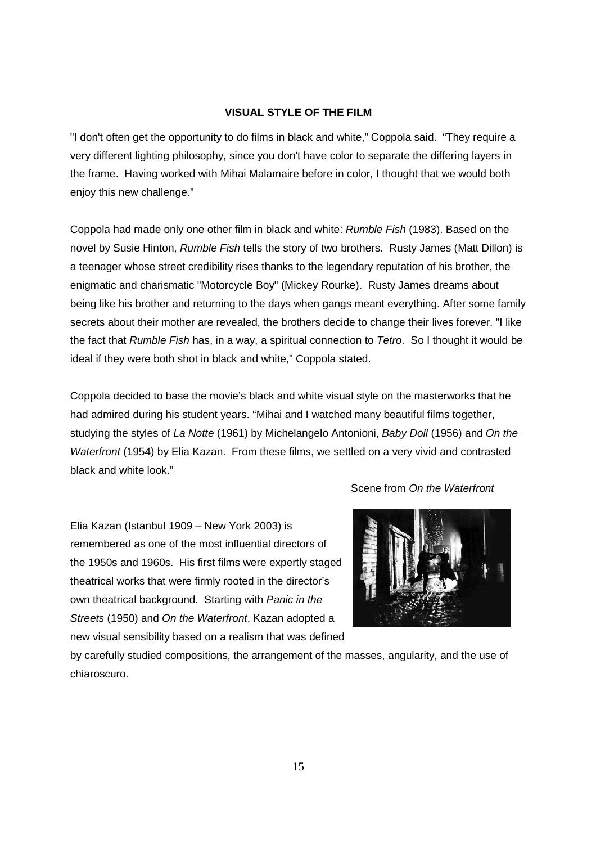# **VISUAL STYLE OF THE FILM**

"I don't often get the opportunity to do films in black and white," Coppola said. "They require a very different lighting philosophy, since you don't have color to separate the differing layers in the frame. Having worked with Mihai Malamaire before in color, I thought that we would both enjoy this new challenge."

Coppola had made only one other film in black and white: Rumble Fish (1983). Based on the novel by Susie Hinton, Rumble Fish tells the story of two brothers. Rusty James (Matt Dillon) is a teenager whose street credibility rises thanks to the legendary reputation of his brother, the enigmatic and charismatic "Motorcycle Boy" (Mickey Rourke). Rusty James dreams about being like his brother and returning to the days when gangs meant everything. After some family secrets about their mother are revealed, the brothers decide to change their lives forever. "I like the fact that Rumble Fish has, in a way, a spiritual connection to Tetro. So I thought it would be ideal if they were both shot in black and white," Coppola stated.

Coppola decided to base the movie's black and white visual style on the masterworks that he had admired during his student years. "Mihai and I watched many beautiful films together, studying the styles of La Notte (1961) by Michelangelo Antonioni, Baby Doll (1956) and On the Waterfront (1954) by Elia Kazan. From these films, we settled on a very vivid and contrasted black and white look."

Elia Kazan (Istanbul 1909 – New York 2003) is remembered as one of the most influential directors of the 1950s and 1960s. His first films were expertly staged theatrical works that were firmly rooted in the director's own theatrical background. Starting with Panic in the Streets (1950) and On the Waterfront, Kazan adopted a new visual sensibility based on a realism that was defined



Scene from On the Waterfront

by carefully studied compositions, the arrangement of the masses, angularity, and the use of chiaroscuro.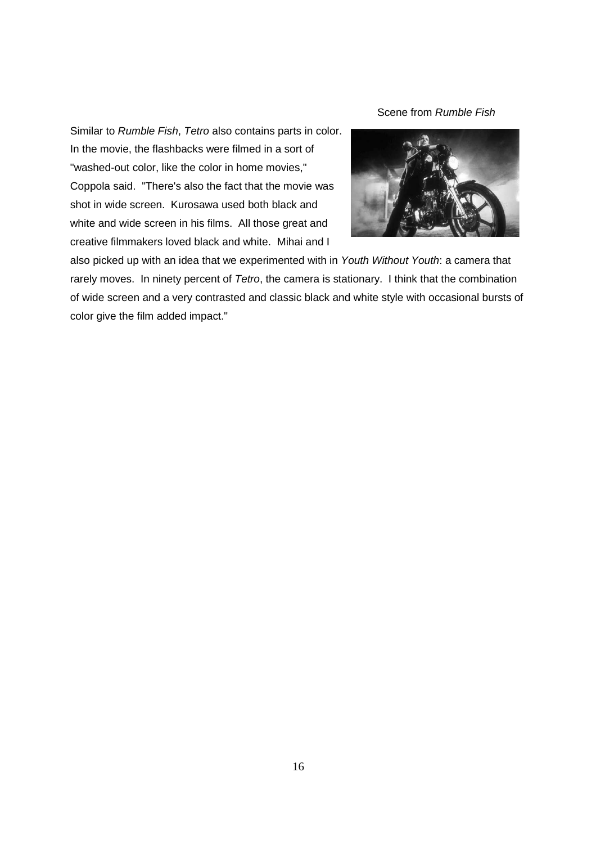Scene from Rumble Fish

Similar to Rumble Fish, Tetro also contains parts in color. In the movie, the flashbacks were filmed in a sort of "washed-out color, like the color in home movies," Coppola said. "There's also the fact that the movie was shot in wide screen. Kurosawa used both black and white and wide screen in his films. All those great and creative filmmakers loved black and white. Mihai and I



also picked up with an idea that we experimented with in Youth Without Youth: a camera that rarely moves. In ninety percent of Tetro, the camera is stationary. I think that the combination of wide screen and a very contrasted and classic black and white style with occasional bursts of color give the film added impact."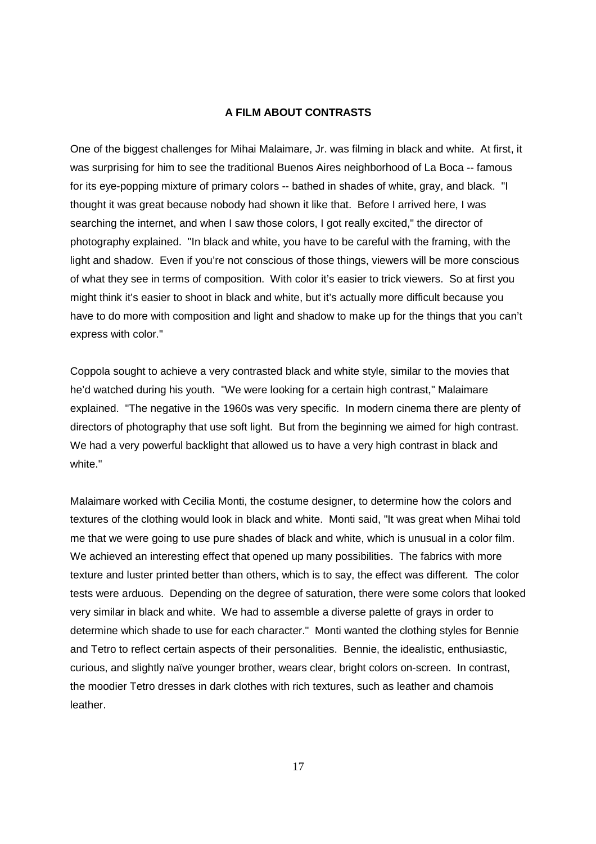### **A FILM ABOUT CONTRASTS**

One of the biggest challenges for Mihai Malaimare, Jr. was filming in black and white. At first, it was surprising for him to see the traditional Buenos Aires neighborhood of La Boca -- famous for its eye-popping mixture of primary colors -- bathed in shades of white, gray, and black. "I thought it was great because nobody had shown it like that. Before I arrived here, I was searching the internet, and when I saw those colors, I got really excited," the director of photography explained. "In black and white, you have to be careful with the framing, with the light and shadow. Even if you're not conscious of those things, viewers will be more conscious of what they see in terms of composition. With color it's easier to trick viewers. So at first you might think it's easier to shoot in black and white, but it's actually more difficult because you have to do more with composition and light and shadow to make up for the things that you can't express with color."

Coppola sought to achieve a very contrasted black and white style, similar to the movies that he'd watched during his youth. "We were looking for a certain high contrast," Malaimare explained. "The negative in the 1960s was very specific. In modern cinema there are plenty of directors of photography that use soft light. But from the beginning we aimed for high contrast. We had a very powerful backlight that allowed us to have a very high contrast in black and white."

Malaimare worked with Cecilia Monti, the costume designer, to determine how the colors and textures of the clothing would look in black and white. Monti said, "It was great when Mihai told me that we were going to use pure shades of black and white, which is unusual in a color film. We achieved an interesting effect that opened up many possibilities. The fabrics with more texture and luster printed better than others, which is to say, the effect was different. The color tests were arduous. Depending on the degree of saturation, there were some colors that looked very similar in black and white. We had to assemble a diverse palette of grays in order to determine which shade to use for each character." Monti wanted the clothing styles for Bennie and Tetro to reflect certain aspects of their personalities. Bennie, the idealistic, enthusiastic, curious, and slightly naïve younger brother, wears clear, bright colors on-screen. In contrast, the moodier Tetro dresses in dark clothes with rich textures, such as leather and chamois leather.

17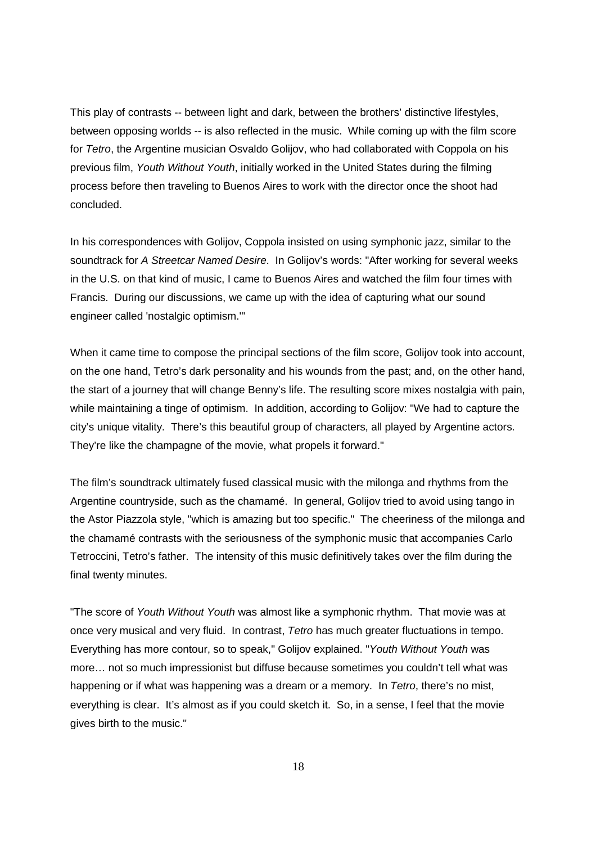This play of contrasts -- between light and dark, between the brothers' distinctive lifestyles, between opposing worlds -- is also reflected in the music. While coming up with the film score for Tetro, the Argentine musician Osvaldo Golijov, who had collaborated with Coppola on his previous film, Youth Without Youth, initially worked in the United States during the filming process before then traveling to Buenos Aires to work with the director once the shoot had concluded.

In his correspondences with Golijov, Coppola insisted on using symphonic jazz, similar to the soundtrack for A Streetcar Named Desire. In Golijov's words: "After working for several weeks in the U.S. on that kind of music, I came to Buenos Aires and watched the film four times with Francis. During our discussions, we came up with the idea of capturing what our sound engineer called 'nostalgic optimism.'"

When it came time to compose the principal sections of the film score, Golijov took into account, on the one hand, Tetro's dark personality and his wounds from the past; and, on the other hand, the start of a journey that will change Benny's life. The resulting score mixes nostalgia with pain, while maintaining a tinge of optimism. In addition, according to Golijov: "We had to capture the city's unique vitality. There's this beautiful group of characters, all played by Argentine actors. They're like the champagne of the movie, what propels it forward."

The film's soundtrack ultimately fused classical music with the milonga and rhythms from the Argentine countryside, such as the chamamé. In general, Golijov tried to avoid using tango in the Astor Piazzola style, "which is amazing but too specific." The cheeriness of the milonga and the chamamé contrasts with the seriousness of the symphonic music that accompanies Carlo Tetroccini, Tetro's father. The intensity of this music definitively takes over the film during the final twenty minutes.

"The score of Youth Without Youth was almost like a symphonic rhythm. That movie was at once very musical and very fluid. In contrast, Tetro has much greater fluctuations in tempo. Everything has more contour, so to speak," Golijov explained. "Youth Without Youth was more… not so much impressionist but diffuse because sometimes you couldn't tell what was happening or if what was happening was a dream or a memory. In Tetro, there's no mist, everything is clear. It's almost as if you could sketch it. So, in a sense, I feel that the movie gives birth to the music."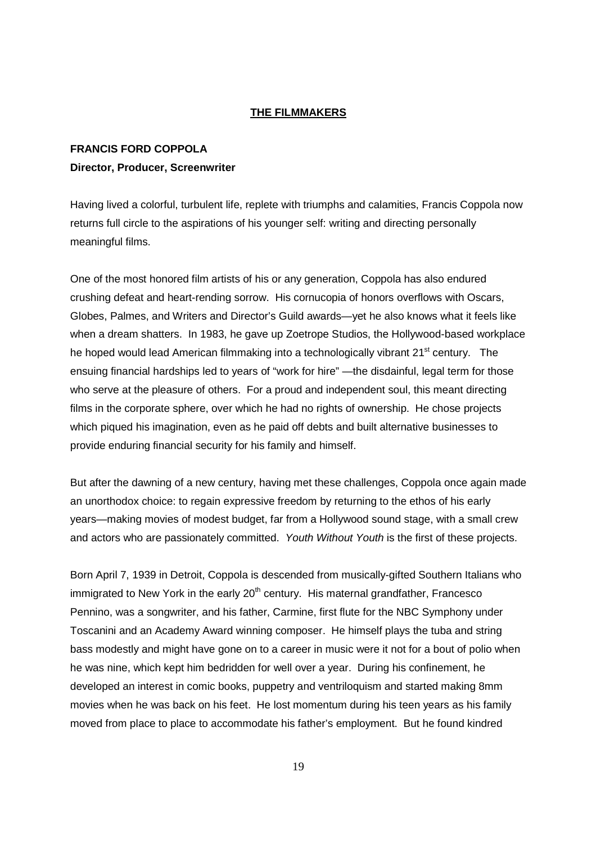### **THE FILMMAKERS**

# **FRANCIS FORD COPPOLA Director, Producer, Screenwriter**

Having lived a colorful, turbulent life, replete with triumphs and calamities, Francis Coppola now returns full circle to the aspirations of his younger self: writing and directing personally meaningful films.

One of the most honored film artists of his or any generation, Coppola has also endured crushing defeat and heart-rending sorrow. His cornucopia of honors overflows with Oscars, Globes, Palmes, and Writers and Director's Guild awards—yet he also knows what it feels like when a dream shatters. In 1983, he gave up Zoetrope Studios, the Hollywood-based workplace he hoped would lead American filmmaking into a technologically vibrant 21<sup>st</sup> century. The ensuing financial hardships led to years of "work for hire" —the disdainful, legal term for those who serve at the pleasure of others. For a proud and independent soul, this meant directing films in the corporate sphere, over which he had no rights of ownership. He chose projects which piqued his imagination, even as he paid off debts and built alternative businesses to provide enduring financial security for his family and himself.

But after the dawning of a new century, having met these challenges, Coppola once again made an unorthodox choice: to regain expressive freedom by returning to the ethos of his early years—making movies of modest budget, far from a Hollywood sound stage, with a small crew and actors who are passionately committed. Youth Without Youth is the first of these projects.

Born April 7, 1939 in Detroit, Coppola is descended from musically-gifted Southern Italians who  $imm$  igrated to New York in the early  $20<sup>th</sup>$  century. His maternal grandfather, Francesco Pennino, was a songwriter, and his father, Carmine, first flute for the NBC Symphony under Toscanini and an Academy Award winning composer. He himself plays the tuba and string bass modestly and might have gone on to a career in music were it not for a bout of polio when he was nine, which kept him bedridden for well over a year. During his confinement, he developed an interest in comic books, puppetry and ventriloquism and started making 8mm movies when he was back on his feet. He lost momentum during his teen years as his family moved from place to place to accommodate his father's employment. But he found kindred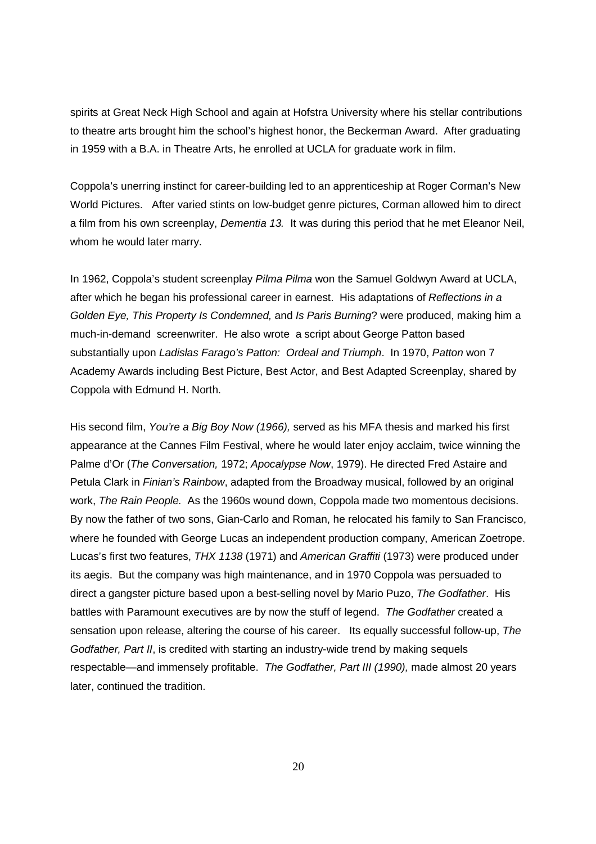spirits at Great Neck High School and again at Hofstra University where his stellar contributions to theatre arts brought him the school's highest honor, the Beckerman Award. After graduating in 1959 with a B.A. in Theatre Arts, he enrolled at UCLA for graduate work in film.

Coppola's unerring instinct for career-building led to an apprenticeship at Roger Corman's New World Pictures. After varied stints on low-budget genre pictures, Corman allowed him to direct a film from his own screenplay, Dementia 13. It was during this period that he met Eleanor Neil, whom he would later marry.

In 1962, Coppola's student screenplay Pilma Pilma won the Samuel Goldwyn Award at UCLA, after which he began his professional career in earnest. His adaptations of Reflections in a Golden Eye, This Property Is Condemned, and Is Paris Burning? were produced, making him a much-in-demand screenwriter. He also wrote a script about George Patton based substantially upon Ladislas Farago's Patton: Ordeal and Triumph. In 1970, Patton won 7 Academy Awards including Best Picture, Best Actor, and Best Adapted Screenplay, shared by Coppola with Edmund H. North.

His second film, You're a Big Boy Now (1966), served as his MFA thesis and marked his first appearance at the Cannes Film Festival, where he would later enjoy acclaim, twice winning the Palme d'Or (The Conversation, 1972; Apocalypse Now, 1979). He directed Fred Astaire and Petula Clark in Finian's Rainbow, adapted from the Broadway musical, followed by an original work, The Rain People. As the 1960s wound down, Coppola made two momentous decisions. By now the father of two sons, Gian-Carlo and Roman, he relocated his family to San Francisco, where he founded with George Lucas an independent production company, American Zoetrope. Lucas's first two features, THX 1138 (1971) and American Graffiti (1973) were produced under its aegis. But the company was high maintenance, and in 1970 Coppola was persuaded to direct a gangster picture based upon a best-selling novel by Mario Puzo, The Godfather. His battles with Paramount executives are by now the stuff of legend. The Godfather created a sensation upon release, altering the course of his career. Its equally successful follow-up, The Godfather, Part II, is credited with starting an industry-wide trend by making sequels respectable—and immensely profitable. The Godfather, Part III (1990), made almost 20 years later, continued the tradition.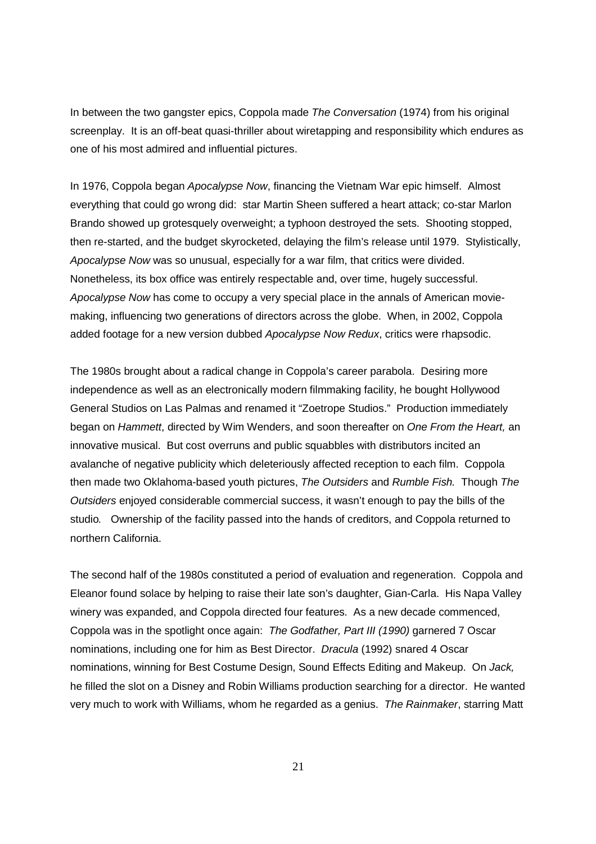In between the two gangster epics, Coppola made The Conversation (1974) from his original screenplay. It is an off-beat quasi-thriller about wiretapping and responsibility which endures as one of his most admired and influential pictures.

In 1976, Coppola began Apocalypse Now, financing the Vietnam War epic himself. Almost everything that could go wrong did: star Martin Sheen suffered a heart attack; co-star Marlon Brando showed up grotesquely overweight; a typhoon destroyed the sets. Shooting stopped, then re-started, and the budget skyrocketed, delaying the film's release until 1979. Stylistically, Apocalypse Now was so unusual, especially for a war film, that critics were divided. Nonetheless, its box office was entirely respectable and, over time, hugely successful. Apocalypse Now has come to occupy a very special place in the annals of American moviemaking, influencing two generations of directors across the globe. When, in 2002, Coppola added footage for a new version dubbed Apocalypse Now Redux, critics were rhapsodic.

The 1980s brought about a radical change in Coppola's career parabola. Desiring more independence as well as an electronically modern filmmaking facility, he bought Hollywood General Studios on Las Palmas and renamed it "Zoetrope Studios." Production immediately began on Hammett, directed by Wim Wenders, and soon thereafter on One From the Heart, an innovative musical. But cost overruns and public squabbles with distributors incited an avalanche of negative publicity which deleteriously affected reception to each film. Coppola then made two Oklahoma-based youth pictures, The Outsiders and Rumble Fish. Though The Outsiders enjoyed considerable commercial success, it wasn't enough to pay the bills of the studio. Ownership of the facility passed into the hands of creditors, and Coppola returned to northern California.

The second half of the 1980s constituted a period of evaluation and regeneration. Coppola and Eleanor found solace by helping to raise their late son's daughter, Gian-Carla. His Napa Valley winery was expanded, and Coppola directed four features. As a new decade commenced, Coppola was in the spotlight once again: The Godfather, Part III (1990) garnered 7 Oscar nominations, including one for him as Best Director. Dracula (1992) snared 4 Oscar nominations, winning for Best Costume Design, Sound Effects Editing and Makeup. On Jack, he filled the slot on a Disney and Robin Williams production searching for a director. He wanted very much to work with Williams, whom he regarded as a genius. The Rainmaker, starring Matt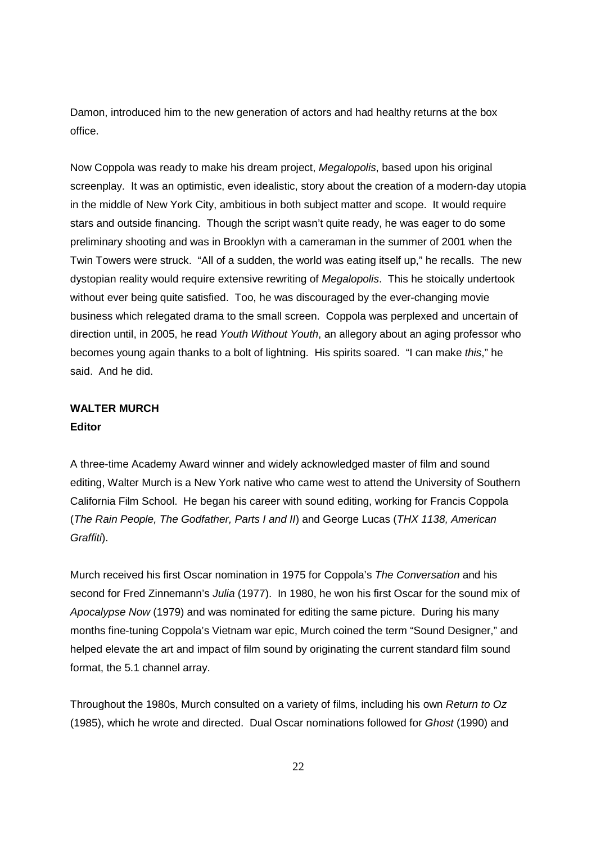Damon, introduced him to the new generation of actors and had healthy returns at the box office.

Now Coppola was ready to make his dream project, Megalopolis, based upon his original screenplay. It was an optimistic, even idealistic, story about the creation of a modern-day utopia in the middle of New York City, ambitious in both subject matter and scope. It would require stars and outside financing. Though the script wasn't quite ready, he was eager to do some preliminary shooting and was in Brooklyn with a cameraman in the summer of 2001 when the Twin Towers were struck. "All of a sudden, the world was eating itself up," he recalls. The new dystopian reality would require extensive rewriting of Megalopolis. This he stoically undertook without ever being quite satisfied. Too, he was discouraged by the ever-changing movie business which relegated drama to the small screen. Coppola was perplexed and uncertain of direction until, in 2005, he read Youth Without Youth, an allegory about an aging professor who becomes young again thanks to a bolt of lightning. His spirits soared. "I can make this," he said. And he did.

# **WALTER MURCH Editor**

A three-time Academy Award winner and widely acknowledged master of film and sound editing, Walter Murch is a New York native who came west to attend the University of Southern California Film School. He began his career with sound editing, working for Francis Coppola (The Rain People, The Godfather, Parts I and II) and George Lucas (THX 1138, American Graffiti).

Murch received his first Oscar nomination in 1975 for Coppola's The Conversation and his second for Fred Zinnemann's Julia (1977). In 1980, he won his first Oscar for the sound mix of Apocalypse Now (1979) and was nominated for editing the same picture. During his many months fine-tuning Coppola's Vietnam war epic, Murch coined the term "Sound Designer," and helped elevate the art and impact of film sound by originating the current standard film sound format, the 5.1 channel array.

Throughout the 1980s, Murch consulted on a variety of films, including his own Return to Oz (1985), which he wrote and directed. Dual Oscar nominations followed for Ghost (1990) and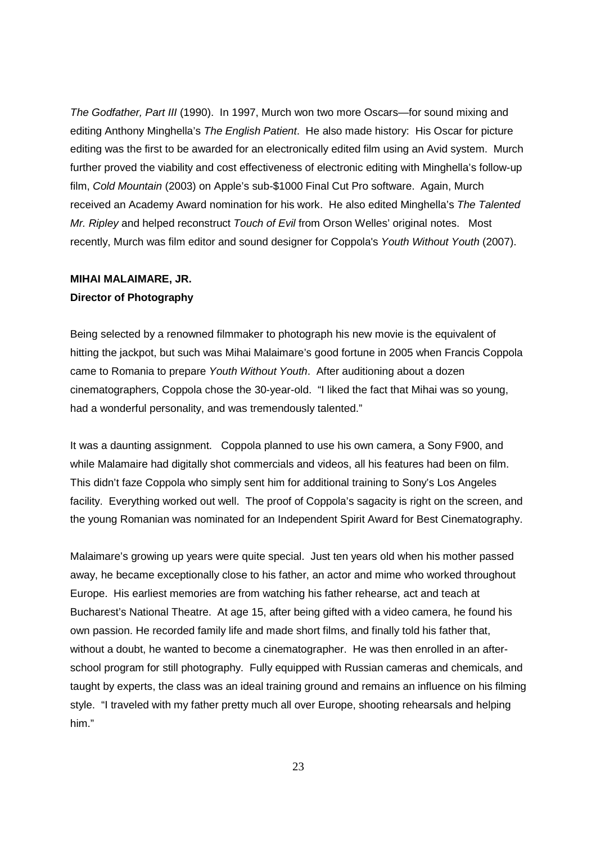The Godfather, Part III (1990). In 1997, Murch won two more Oscars—for sound mixing and editing Anthony Minghella's The English Patient. He also made history: His Oscar for picture editing was the first to be awarded for an electronically edited film using an Avid system. Murch further proved the viability and cost effectiveness of electronic editing with Minghella's follow-up film, Cold Mountain (2003) on Apple's sub-\$1000 Final Cut Pro software. Again, Murch received an Academy Award nomination for his work. He also edited Minghella's The Talented Mr. Ripley and helped reconstruct Touch of Evil from Orson Welles' original notes. Most recently, Murch was film editor and sound designer for Coppola's Youth Without Youth (2007).

# **MIHAI MALAIMARE, JR. Director of Photography**

Being selected by a renowned filmmaker to photograph his new movie is the equivalent of hitting the jackpot, but such was Mihai Malaimare's good fortune in 2005 when Francis Coppola came to Romania to prepare Youth Without Youth. After auditioning about a dozen cinematographers, Coppola chose the 30-year-old. "I liked the fact that Mihai was so young, had a wonderful personality, and was tremendously talented."

It was a daunting assignment. Coppola planned to use his own camera, a Sony F900, and while Malamaire had digitally shot commercials and videos, all his features had been on film. This didn't faze Coppola who simply sent him for additional training to Sony's Los Angeles facility. Everything worked out well. The proof of Coppola's sagacity is right on the screen, and the young Romanian was nominated for an Independent Spirit Award for Best Cinematography.

Malaimare's growing up years were quite special. Just ten years old when his mother passed away, he became exceptionally close to his father, an actor and mime who worked throughout Europe. His earliest memories are from watching his father rehearse, act and teach at Bucharest's National Theatre. At age 15, after being gifted with a video camera, he found his own passion. He recorded family life and made short films, and finally told his father that, without a doubt, he wanted to become a cinematographer. He was then enrolled in an afterschool program for still photography. Fully equipped with Russian cameras and chemicals, and taught by experts, the class was an ideal training ground and remains an influence on his filming style. "I traveled with my father pretty much all over Europe, shooting rehearsals and helping him."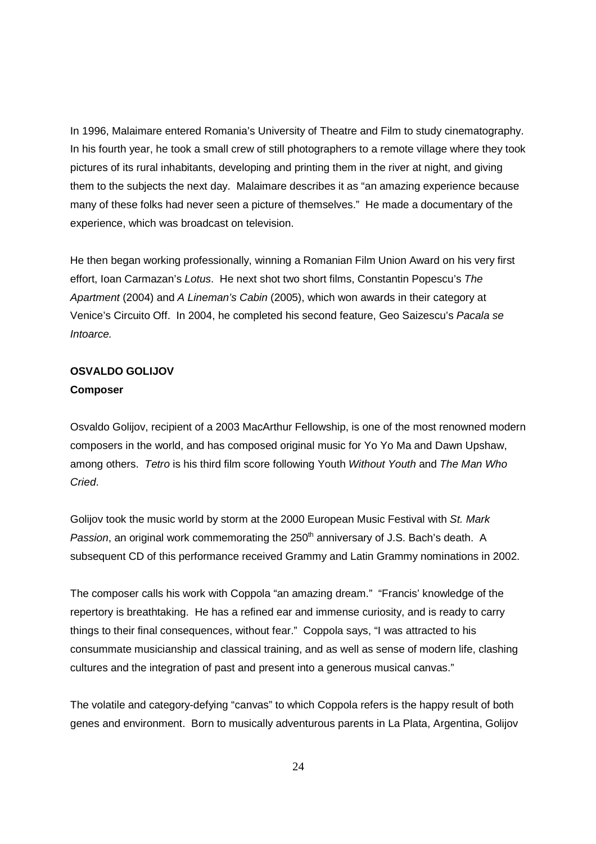In 1996, Malaimare entered Romania's University of Theatre and Film to study cinematography. In his fourth year, he took a small crew of still photographers to a remote village where they took pictures of its rural inhabitants, developing and printing them in the river at night, and giving them to the subjects the next day. Malaimare describes it as "an amazing experience because many of these folks had never seen a picture of themselves." He made a documentary of the experience, which was broadcast on television.

He then began working professionally, winning a Romanian Film Union Award on his very first effort, Ioan Carmazan's Lotus. He next shot two short films, Constantin Popescu's The Apartment (2004) and A Lineman's Cabin (2005), which won awards in their category at Venice's Circuito Off. In 2004, he completed his second feature, Geo Saizescu's Pacala se Intoarce.

# **OSVALDO GOLIJOV Composer**

Osvaldo Golijov, recipient of a 2003 MacArthur Fellowship, is one of the most renowned modern composers in the world, and has composed original music for Yo Yo Ma and Dawn Upshaw, among others. Tetro is his third film score following Youth Without Youth and The Man Who Cried.

Golijov took the music world by storm at the 2000 European Music Festival with St. Mark Passion, an original work commemorating the 250<sup>th</sup> anniversary of J.S. Bach's death. A subsequent CD of this performance received Grammy and Latin Grammy nominations in 2002.

The composer calls his work with Coppola "an amazing dream." "Francis' knowledge of the repertory is breathtaking. He has a refined ear and immense curiosity, and is ready to carry things to their final consequences, without fear." Coppola says, "I was attracted to his consummate musicianship and classical training, and as well as sense of modern life, clashing cultures and the integration of past and present into a generous musical canvas."

The volatile and category-defying "canvas" to which Coppola refers is the happy result of both genes and environment. Born to musically adventurous parents in La Plata, Argentina, Golijov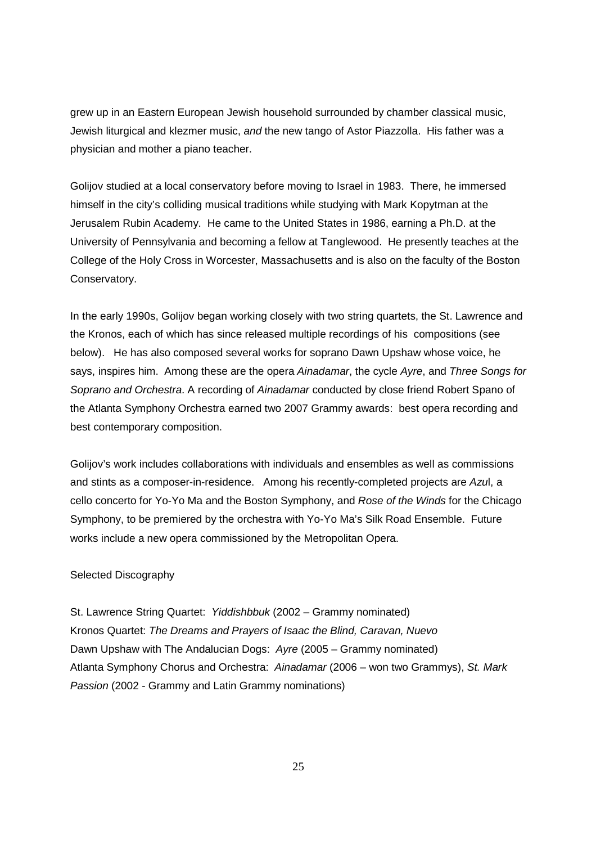grew up in an Eastern European Jewish household surrounded by chamber classical music, Jewish liturgical and klezmer music, and the new tango of Astor Piazzolla. His father was a physician and mother a piano teacher.

Golijov studied at a local conservatory before moving to Israel in 1983. There, he immersed himself in the city's colliding musical traditions while studying with Mark Kopytman at the Jerusalem Rubin Academy. He came to the United States in 1986, earning a Ph.D. at the University of Pennsylvania and becoming a fellow at Tanglewood. He presently teaches at the College of the Holy Cross in Worcester, Massachusetts and is also on the faculty of the Boston Conservatory.

In the early 1990s, Golijov began working closely with two string quartets, the St. Lawrence and the Kronos, each of which has since released multiple recordings of his compositions (see below). He has also composed several works for soprano Dawn Upshaw whose voice, he says, inspires him. Among these are the opera Ainadamar, the cycle Ayre, and Three Songs for Soprano and Orchestra. A recording of Ainadamar conducted by close friend Robert Spano of the Atlanta Symphony Orchestra earned two 2007 Grammy awards: best opera recording and best contemporary composition.

Golijov's work includes collaborations with individuals and ensembles as well as commissions and stints as a composer-in-residence. Among his recently-completed projects are Azul, a cello concerto for Yo-Yo Ma and the Boston Symphony, and Rose of the Winds for the Chicago Symphony, to be premiered by the orchestra with Yo-Yo Ma's Silk Road Ensemble. Future works include a new opera commissioned by the Metropolitan Opera.

# Selected Discography

St. Lawrence String Quartet: Yiddishbbuk (2002 – Grammy nominated) Kronos Quartet: The Dreams and Prayers of Isaac the Blind, Caravan, Nuevo Dawn Upshaw with The Andalucian Dogs: Ayre (2005 – Grammy nominated) Atlanta Symphony Chorus and Orchestra: Ainadamar (2006 – won two Grammys), St. Mark Passion (2002 - Grammy and Latin Grammy nominations)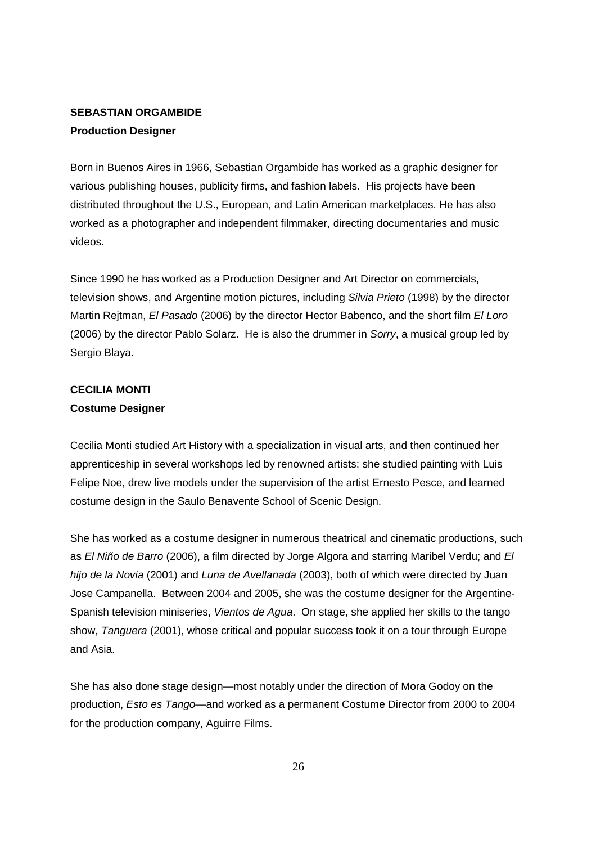# **SEBASTIAN ORGAMBIDE Production Designer**

Born in Buenos Aires in 1966, Sebastian Orgambide has worked as a graphic designer for various publishing houses, publicity firms, and fashion labels. His projects have been distributed throughout the U.S., European, and Latin American marketplaces. He has also worked as a photographer and independent filmmaker, directing documentaries and music videos.

Since 1990 he has worked as a Production Designer and Art Director on commercials, television shows, and Argentine motion pictures, including Silvia Prieto (1998) by the director Martin Rejtman, El Pasado (2006) by the director Hector Babenco, and the short film El Loro (2006) by the director Pablo Solarz. He is also the drummer in Sorry, a musical group led by Sergio Blaya.

# **CECILIA MONTI Costume Designer**

Cecilia Monti studied Art History with a specialization in visual arts, and then continued her apprenticeship in several workshops led by renowned artists: she studied painting with Luis Felipe Noe, drew live models under the supervision of the artist Ernesto Pesce, and learned costume design in the Saulo Benavente School of Scenic Design.

She has worked as a costume designer in numerous theatrical and cinematic productions, such as El Niño de Barro (2006), a film directed by Jorge Algora and starring Maribel Verdu; and El hijo de la Novia (2001) and Luna de Avellanada (2003), both of which were directed by Juan Jose Campanella. Between 2004 and 2005, she was the costume designer for the Argentine-Spanish television miniseries, Vientos de Agua. On stage, she applied her skills to the tango show, Tanguera (2001), whose critical and popular success took it on a tour through Europe and Asia.

She has also done stage design—most notably under the direction of Mora Godoy on the production, Esto es Tango—and worked as a permanent Costume Director from 2000 to 2004 for the production company, Aguirre Films.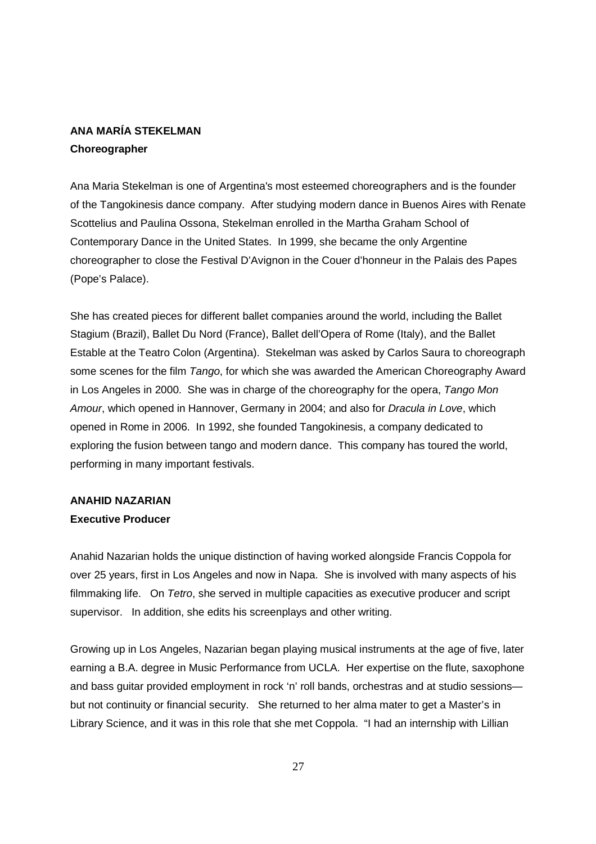# **ANA MARÍA STEKELMAN Choreographer**

Ana Maria Stekelman is one of Argentina's most esteemed choreographers and is the founder of the Tangokinesis dance company. After studying modern dance in Buenos Aires with Renate Scottelius and Paulina Ossona, Stekelman enrolled in the Martha Graham School of Contemporary Dance in the United States. In 1999, she became the only Argentine choreographer to close the Festival D'Avignon in the Couer d'honneur in the Palais des Papes (Pope's Palace).

She has created pieces for different ballet companies around the world, including the Ballet Stagium (Brazil), Ballet Du Nord (France), Ballet dell'Opera of Rome (Italy), and the Ballet Estable at the Teatro Colon (Argentina). Stekelman was asked by Carlos Saura to choreograph some scenes for the film Tango, for which she was awarded the American Choreography Award in Los Angeles in 2000. She was in charge of the choreography for the opera, Tango Mon Amour, which opened in Hannover, Germany in 2004; and also for Dracula in Love, which opened in Rome in 2006. In 1992, she founded Tangokinesis, a company dedicated to exploring the fusion between tango and modern dance. This company has toured the world, performing in many important festivals.

# **ANAHID NAZARIAN**

# **Executive Producer**

Anahid Nazarian holds the unique distinction of having worked alongside Francis Coppola for over 25 years, first in Los Angeles and now in Napa. She is involved with many aspects of his filmmaking life. On Tetro, she served in multiple capacities as executive producer and script supervisor. In addition, she edits his screenplays and other writing.

Growing up in Los Angeles, Nazarian began playing musical instruments at the age of five, later earning a B.A. degree in Music Performance from UCLA. Her expertise on the flute, saxophone and bass guitar provided employment in rock 'n' roll bands, orchestras and at studio sessions but not continuity or financial security. She returned to her alma mater to get a Master's in Library Science, and it was in this role that she met Coppola. "I had an internship with Lillian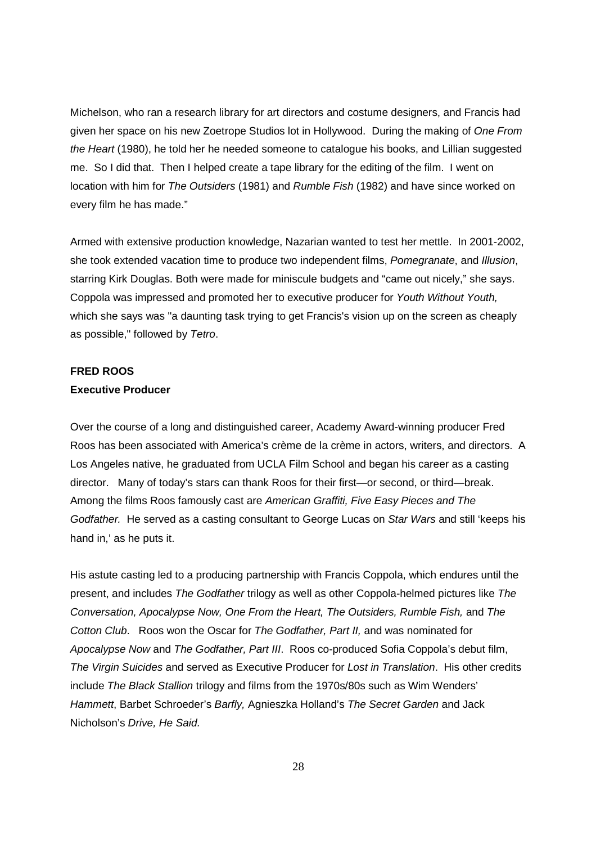Michelson, who ran a research library for art directors and costume designers, and Francis had given her space on his new Zoetrope Studios lot in Hollywood. During the making of One From the Heart (1980), he told her he needed someone to catalogue his books, and Lillian suggested me. So I did that. Then I helped create a tape library for the editing of the film. I went on location with him for The Outsiders (1981) and Rumble Fish (1982) and have since worked on every film he has made."

Armed with extensive production knowledge, Nazarian wanted to test her mettle. In 2001-2002, she took extended vacation time to produce two independent films, Pomegranate, and Illusion, starring Kirk Douglas. Both were made for miniscule budgets and "came out nicely," she says. Coppola was impressed and promoted her to executive producer for Youth Without Youth, which she says was "a daunting task trying to get Francis's vision up on the screen as cheaply as possible," followed by Tetro.

### **FRED ROOS**

### **Executive Producer**

Over the course of a long and distinguished career, Academy Award-winning producer Fred Roos has been associated with America's crème de la crème in actors, writers, and directors. A Los Angeles native, he graduated from UCLA Film School and began his career as a casting director. Many of today's stars can thank Roos for their first—or second, or third—break. Among the films Roos famously cast are American Graffiti, Five Easy Pieces and The Godfather. He served as a casting consultant to George Lucas on Star Wars and still 'keeps his hand in,' as he puts it.

His astute casting led to a producing partnership with Francis Coppola, which endures until the present, and includes The Godfather trilogy as well as other Coppola-helmed pictures like The Conversation, Apocalypse Now, One From the Heart, The Outsiders, Rumble Fish, and The Cotton Club. Roos won the Oscar for The Godfather, Part II, and was nominated for Apocalypse Now and The Godfather, Part III. Roos co-produced Sofia Coppola's debut film, The Virgin Suicides and served as Executive Producer for Lost in Translation. His other credits include The Black Stallion trilogy and films from the 1970s/80s such as Wim Wenders' Hammett, Barbet Schroeder's Barfly, Agnieszka Holland's The Secret Garden and Jack Nicholson's Drive, He Said.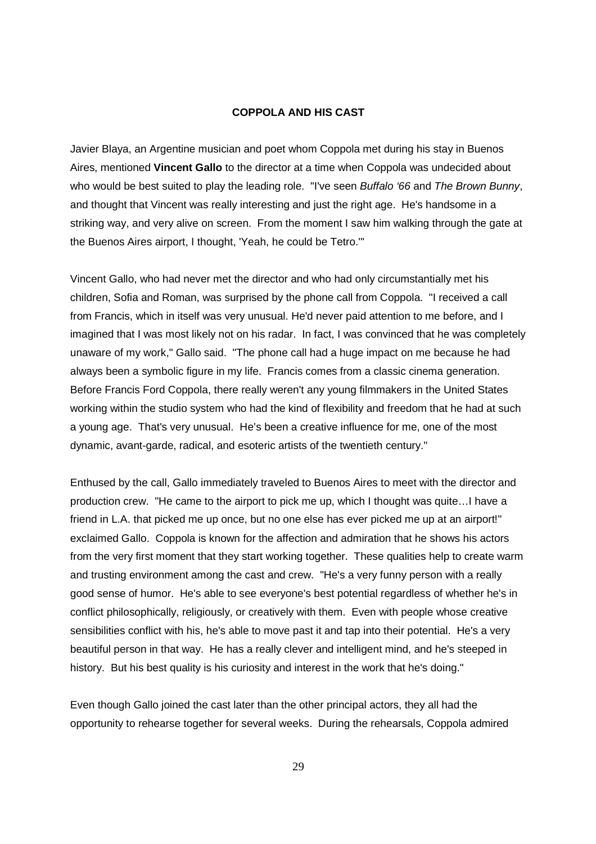### **COPPOLA AND HIS CAST**

Javier Blaya, an Argentine musician and poet whom Coppola met during his stay in Buenos Aires, mentioned **Vincent Gallo** to the director at a time when Coppola was undecided about who would be best suited to play the leading role. "I've seen Buffalo '66 and The Brown Bunny, and thought that Vincent was really interesting and just the right age. He's handsome in a striking way, and very alive on screen. From the moment I saw him walking through the gate at the Buenos Aires airport, I thought, 'Yeah, he could be Tetro.'"

Vincent Gallo, who had never met the director and who had only circumstantially met his children, Sofia and Roman, was surprised by the phone call from Coppola. "I received a call from Francis, which in itself was very unusual. He'd never paid attention to me before, and I imagined that I was most likely not on his radar. In fact, I was convinced that he was completely unaware of my work," Gallo said. "The phone call had a huge impact on me because he had always been a symbolic figure in my life. Francis comes from a classic cinema generation. Before Francis Ford Coppola, there really weren't any young filmmakers in the United States working within the studio system who had the kind of flexibility and freedom that he had at such a young age. That's very unusual. He's been a creative influence for me, one of the most dynamic, avant-garde, radical, and esoteric artists of the twentieth century."

Enthused by the call, Gallo immediately traveled to Buenos Aires to meet with the director and production crew. "He came to the airport to pick me up, which I thought was quite…I have a friend in L.A. that picked me up once, but no one else has ever picked me up at an airport!" exclaimed Gallo. Coppola is known for the affection and admiration that he shows his actors from the very first moment that they start working together. These qualities help to create warm and trusting environment among the cast and crew. "He's a very funny person with a really good sense of humor. He's able to see everyone's best potential regardless of whether he's in conflict philosophically, religiously, or creatively with them. Even with people whose creative sensibilities conflict with his, he's able to move past it and tap into their potential. He's a very beautiful person in that way. He has a really clever and intelligent mind, and he's steeped in history. But his best quality is his curiosity and interest in the work that he's doing."

Even though Gallo joined the cast later than the other principal actors, they all had the opportunity to rehearse together for several weeks. During the rehearsals, Coppola admired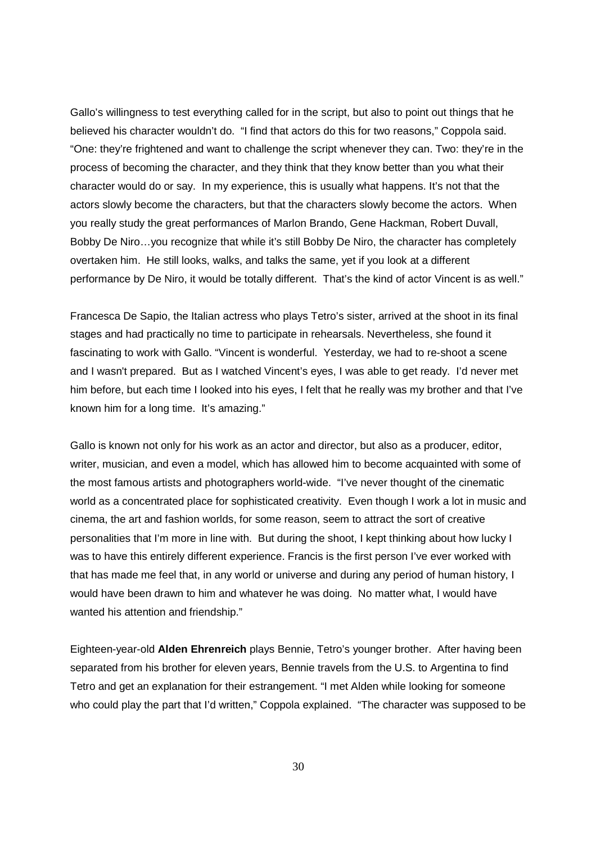Gallo's willingness to test everything called for in the script, but also to point out things that he believed his character wouldn't do. "I find that actors do this for two reasons," Coppola said. "One: they're frightened and want to challenge the script whenever they can. Two: they're in the process of becoming the character, and they think that they know better than you what their character would do or say. In my experience, this is usually what happens. It's not that the actors slowly become the characters, but that the characters slowly become the actors. When you really study the great performances of Marlon Brando, Gene Hackman, Robert Duvall, Bobby De Niro…you recognize that while it's still Bobby De Niro, the character has completely overtaken him. He still looks, walks, and talks the same, yet if you look at a different performance by De Niro, it would be totally different. That's the kind of actor Vincent is as well."

Francesca De Sapio, the Italian actress who plays Tetro's sister, arrived at the shoot in its final stages and had practically no time to participate in rehearsals. Nevertheless, she found it fascinating to work with Gallo. "Vincent is wonderful. Yesterday, we had to re-shoot a scene and I wasn't prepared. But as I watched Vincent's eyes, I was able to get ready. I'd never met him before, but each time I looked into his eyes, I felt that he really was my brother and that I've known him for a long time. It's amazing."

Gallo is known not only for his work as an actor and director, but also as a producer, editor, writer, musician, and even a model, which has allowed him to become acquainted with some of the most famous artists and photographers world-wide. "I've never thought of the cinematic world as a concentrated place for sophisticated creativity. Even though I work a lot in music and cinema, the art and fashion worlds, for some reason, seem to attract the sort of creative personalities that I'm more in line with. But during the shoot, I kept thinking about how lucky I was to have this entirely different experience. Francis is the first person I've ever worked with that has made me feel that, in any world or universe and during any period of human history, I would have been drawn to him and whatever he was doing. No matter what, I would have wanted his attention and friendship."

Eighteen-year-old **Alden Ehrenreich** plays Bennie, Tetro's younger brother. After having been separated from his brother for eleven years, Bennie travels from the U.S. to Argentina to find Tetro and get an explanation for their estrangement. "I met Alden while looking for someone who could play the part that I'd written," Coppola explained. "The character was supposed to be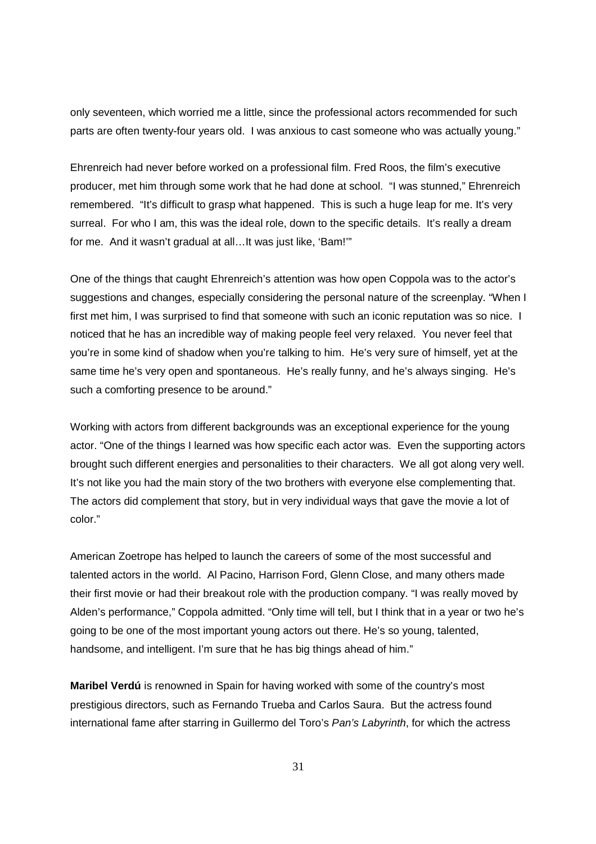only seventeen, which worried me a little, since the professional actors recommended for such parts are often twenty-four years old. I was anxious to cast someone who was actually young."

Ehrenreich had never before worked on a professional film. Fred Roos, the film's executive producer, met him through some work that he had done at school. "I was stunned," Ehrenreich remembered. "It's difficult to grasp what happened. This is such a huge leap for me. It's very surreal. For who I am, this was the ideal role, down to the specific details. It's really a dream for me. And it wasn't gradual at all…It was just like, 'Bam!'"

One of the things that caught Ehrenreich's attention was how open Coppola was to the actor's suggestions and changes, especially considering the personal nature of the screenplay. "When I first met him, I was surprised to find that someone with such an iconic reputation was so nice. I noticed that he has an incredible way of making people feel very relaxed. You never feel that you're in some kind of shadow when you're talking to him. He's very sure of himself, yet at the same time he's very open and spontaneous. He's really funny, and he's always singing. He's such a comforting presence to be around."

Working with actors from different backgrounds was an exceptional experience for the young actor. "One of the things I learned was how specific each actor was. Even the supporting actors brought such different energies and personalities to their characters. We all got along very well. It's not like you had the main story of the two brothers with everyone else complementing that. The actors did complement that story, but in very individual ways that gave the movie a lot of color."

American Zoetrope has helped to launch the careers of some of the most successful and talented actors in the world. Al Pacino, Harrison Ford, Glenn Close, and many others made their first movie or had their breakout role with the production company. "I was really moved by Alden's performance," Coppola admitted. "Only time will tell, but I think that in a year or two he's going to be one of the most important young actors out there. He's so young, talented, handsome, and intelligent. I'm sure that he has big things ahead of him."

**Maribel Verdú** is renowned in Spain for having worked with some of the country's most prestigious directors, such as Fernando Trueba and Carlos Saura. But the actress found international fame after starring in Guillermo del Toro's Pan's Labyrinth, for which the actress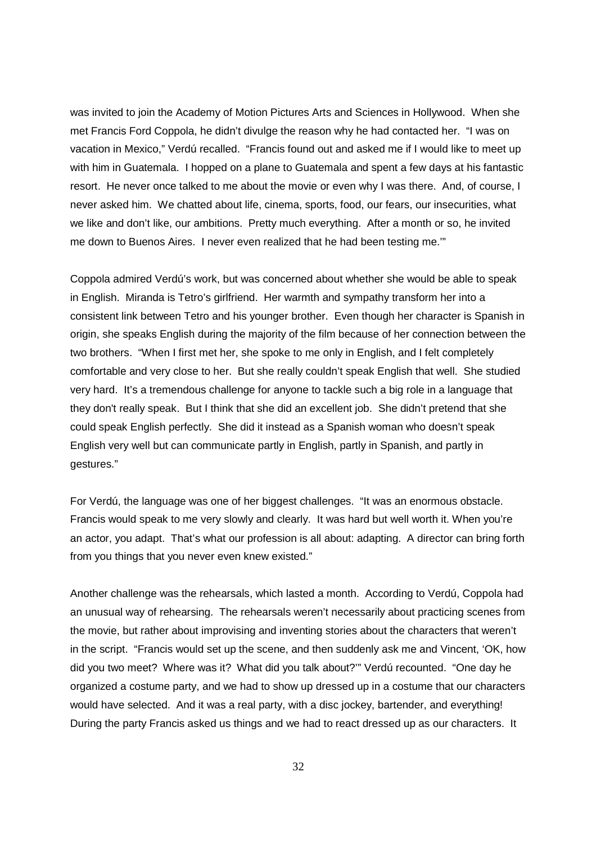was invited to join the Academy of Motion Pictures Arts and Sciences in Hollywood. When she met Francis Ford Coppola, he didn't divulge the reason why he had contacted her. "I was on vacation in Mexico," Verdú recalled. "Francis found out and asked me if I would like to meet up with him in Guatemala. I hopped on a plane to Guatemala and spent a few days at his fantastic resort. He never once talked to me about the movie or even why I was there. And, of course, I never asked him. We chatted about life, cinema, sports, food, our fears, our insecurities, what we like and don't like, our ambitions. Pretty much everything. After a month or so, he invited me down to Buenos Aires. I never even realized that he had been testing me.'"

Coppola admired Verdú's work, but was concerned about whether she would be able to speak in English. Miranda is Tetro's girlfriend. Her warmth and sympathy transform her into a consistent link between Tetro and his younger brother. Even though her character is Spanish in origin, she speaks English during the majority of the film because of her connection between the two brothers. "When I first met her, she spoke to me only in English, and I felt completely comfortable and very close to her. But she really couldn't speak English that well. She studied very hard. It's a tremendous challenge for anyone to tackle such a big role in a language that they don't really speak. But I think that she did an excellent job. She didn't pretend that she could speak English perfectly. She did it instead as a Spanish woman who doesn't speak English very well but can communicate partly in English, partly in Spanish, and partly in gestures."

For Verdú, the language was one of her biggest challenges. "It was an enormous obstacle. Francis would speak to me very slowly and clearly. It was hard but well worth it. When you're an actor, you adapt. That's what our profession is all about: adapting. A director can bring forth from you things that you never even knew existed."

Another challenge was the rehearsals, which lasted a month. According to Verdú, Coppola had an unusual way of rehearsing. The rehearsals weren't necessarily about practicing scenes from the movie, but rather about improvising and inventing stories about the characters that weren't in the script. "Francis would set up the scene, and then suddenly ask me and Vincent, 'OK, how did you two meet? Where was it? What did you talk about?'" Verdú recounted. "One day he organized a costume party, and we had to show up dressed up in a costume that our characters would have selected. And it was a real party, with a disc jockey, bartender, and everything! During the party Francis asked us things and we had to react dressed up as our characters. It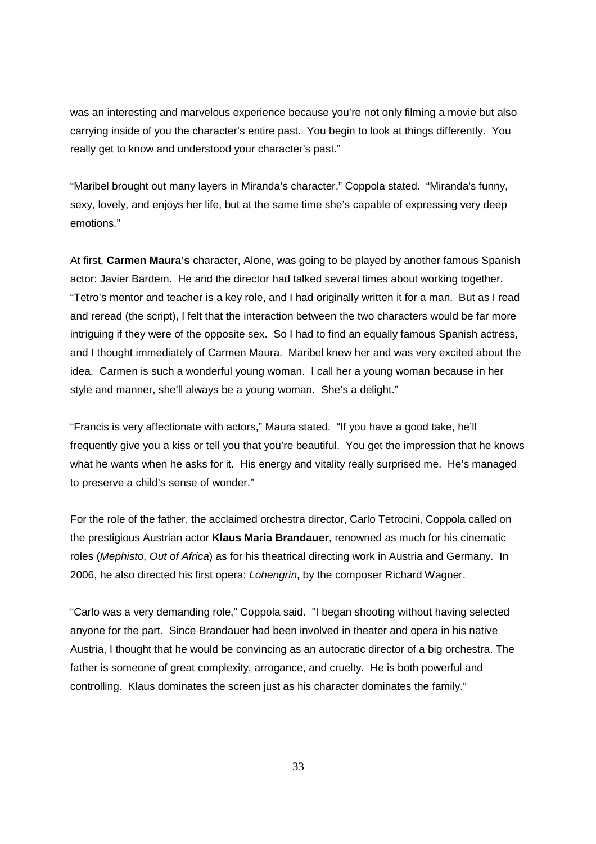was an interesting and marvelous experience because you're not only filming a movie but also carrying inside of you the character's entire past. You begin to look at things differently. You really get to know and understood your character's past."

"Maribel brought out many layers in Miranda's character," Coppola stated. "Miranda's funny, sexy, lovely, and enjoys her life, but at the same time she's capable of expressing very deep emotions."

At first, **Carmen Maura's** character, Alone, was going to be played by another famous Spanish actor: Javier Bardem. He and the director had talked several times about working together. "Tetro's mentor and teacher is a key role, and I had originally written it for a man. But as I read and reread (the script), I felt that the interaction between the two characters would be far more intriguing if they were of the opposite sex. So I had to find an equally famous Spanish actress, and I thought immediately of Carmen Maura. Maribel knew her and was very excited about the idea. Carmen is such a wonderful young woman. I call her a young woman because in her style and manner, she'll always be a young woman. She's a delight."

"Francis is very affectionate with actors," Maura stated. "If you have a good take, he'll frequently give you a kiss or tell you that you're beautiful. You get the impression that he knows what he wants when he asks for it. His energy and vitality really surprised me. He's managed to preserve a child's sense of wonder."

For the role of the father, the acclaimed orchestra director, Carlo Tetrocini, Coppola called on the prestigious Austrian actor **Klaus Maria Brandauer**, renowned as much for his cinematic roles (Mephisto, Out of Africa) as for his theatrical directing work in Austria and Germany. In 2006, he also directed his first opera: Lohengrin, by the composer Richard Wagner.

"Carlo was a very demanding role," Coppola said. "I began shooting without having selected anyone for the part. Since Brandauer had been involved in theater and opera in his native Austria, I thought that he would be convincing as an autocratic director of a big orchestra. The father is someone of great complexity, arrogance, and cruelty. He is both powerful and controlling. Klaus dominates the screen just as his character dominates the family."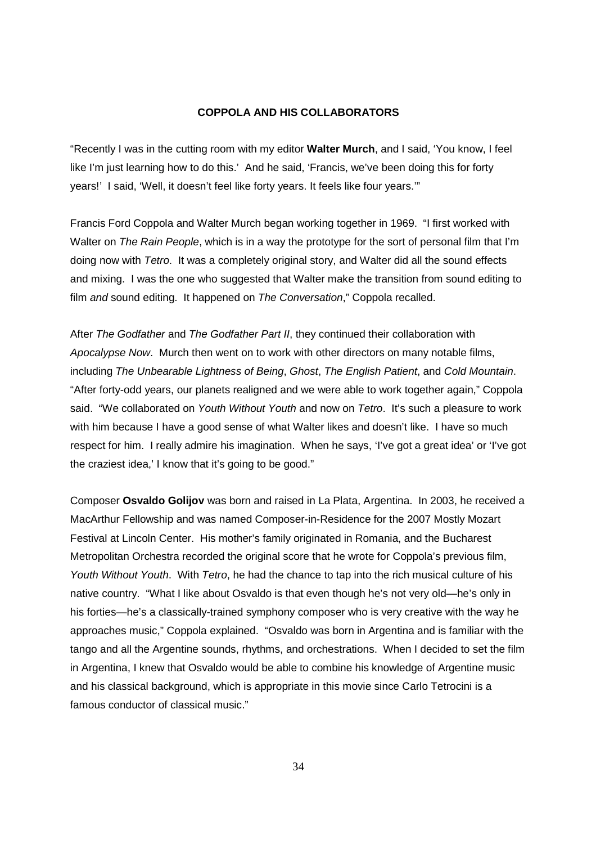### **COPPOLA AND HIS COLLABORATORS**

"Recently I was in the cutting room with my editor **Walter Murch**, and I said, 'You know, I feel like I'm just learning how to do this.' And he said, 'Francis, we've been doing this for forty years!' I said, 'Well, it doesn't feel like forty years. It feels like four years.'"

Francis Ford Coppola and Walter Murch began working together in 1969. "I first worked with Walter on *The Rain People*, which is in a way the prototype for the sort of personal film that I'm doing now with Tetro. It was a completely original story, and Walter did all the sound effects and mixing. I was the one who suggested that Walter make the transition from sound editing to film and sound editing. It happened on The Conversation," Coppola recalled.

After The Godfather and The Godfather Part II, they continued their collaboration with Apocalypse Now. Murch then went on to work with other directors on many notable films, including The Unbearable Lightness of Being, Ghost, The English Patient, and Cold Mountain. "After forty-odd years, our planets realigned and we were able to work together again," Coppola said. "We collaborated on Youth Without Youth and now on Tetro. It's such a pleasure to work with him because I have a good sense of what Walter likes and doesn't like. I have so much respect for him. I really admire his imagination. When he says, 'I've got a great idea' or 'I've got the craziest idea,' I know that it's going to be good."

Composer **Osvaldo Golijov** was born and raised in La Plata, Argentina. In 2003, he received a MacArthur Fellowship and was named Composer-in-Residence for the 2007 Mostly Mozart Festival at Lincoln Center. His mother's family originated in Romania, and the Bucharest Metropolitan Orchestra recorded the original score that he wrote for Coppola's previous film, Youth Without Youth. With Tetro, he had the chance to tap into the rich musical culture of his native country. "What I like about Osvaldo is that even though he's not very old—he's only in his forties—he's a classically-trained symphony composer who is very creative with the way he approaches music," Coppola explained. "Osvaldo was born in Argentina and is familiar with the tango and all the Argentine sounds, rhythms, and orchestrations. When I decided to set the film in Argentina, I knew that Osvaldo would be able to combine his knowledge of Argentine music and his classical background, which is appropriate in this movie since Carlo Tetrocini is a famous conductor of classical music."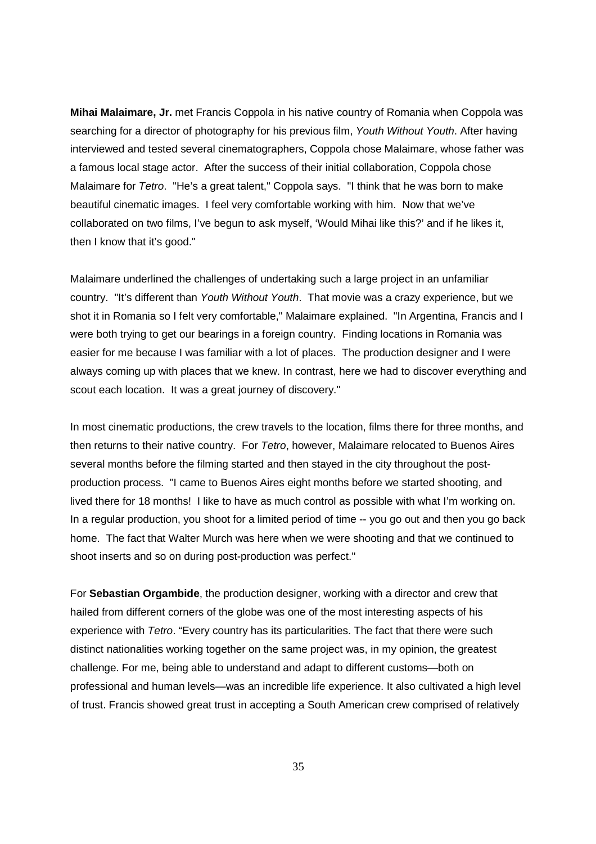**Mihai Malaimare, Jr.** met Francis Coppola in his native country of Romania when Coppola was searching for a director of photography for his previous film, Youth Without Youth. After having interviewed and tested several cinematographers, Coppola chose Malaimare, whose father was a famous local stage actor. After the success of their initial collaboration, Coppola chose Malaimare for Tetro. "He's a great talent," Coppola says. "I think that he was born to make beautiful cinematic images. I feel very comfortable working with him. Now that we've collaborated on two films, I've begun to ask myself, 'Would Mihai like this?' and if he likes it, then I know that it's good."

Malaimare underlined the challenges of undertaking such a large project in an unfamiliar country. "It's different than Youth Without Youth. That movie was a crazy experience, but we shot it in Romania so I felt very comfortable," Malaimare explained. "In Argentina, Francis and I were both trying to get our bearings in a foreign country. Finding locations in Romania was easier for me because I was familiar with a lot of places. The production designer and I were always coming up with places that we knew. In contrast, here we had to discover everything and scout each location. It was a great journey of discovery."

In most cinematic productions, the crew travels to the location, films there for three months, and then returns to their native country. For Tetro, however, Malaimare relocated to Buenos Aires several months before the filming started and then stayed in the city throughout the postproduction process. "I came to Buenos Aires eight months before we started shooting, and lived there for 18 months! I like to have as much control as possible with what I'm working on. In a regular production, you shoot for a limited period of time -- you go out and then you go back home. The fact that Walter Murch was here when we were shooting and that we continued to shoot inserts and so on during post-production was perfect."

For **Sebastian Orgambide**, the production designer, working with a director and crew that hailed from different corners of the globe was one of the most interesting aspects of his experience with Tetro. "Every country has its particularities. The fact that there were such distinct nationalities working together on the same project was, in my opinion, the greatest challenge. For me, being able to understand and adapt to different customs—both on professional and human levels—was an incredible life experience. It also cultivated a high level of trust. Francis showed great trust in accepting a South American crew comprised of relatively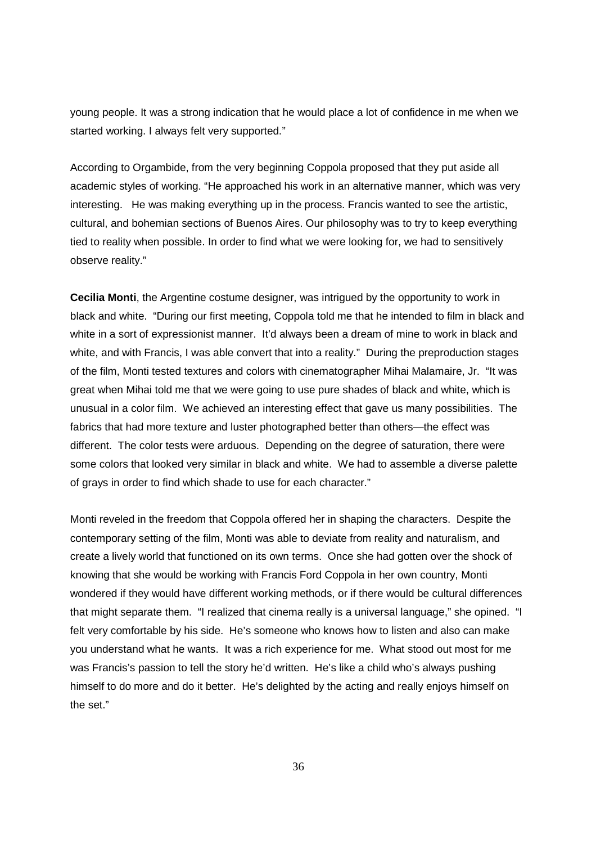young people. It was a strong indication that he would place a lot of confidence in me when we started working. I always felt very supported."

According to Orgambide, from the very beginning Coppola proposed that they put aside all academic styles of working. "He approached his work in an alternative manner, which was very interesting. He was making everything up in the process. Francis wanted to see the artistic, cultural, and bohemian sections of Buenos Aires. Our philosophy was to try to keep everything tied to reality when possible. In order to find what we were looking for, we had to sensitively observe reality."

**Cecilia Monti**, the Argentine costume designer, was intrigued by the opportunity to work in black and white. "During our first meeting, Coppola told me that he intended to film in black and white in a sort of expressionist manner. It'd always been a dream of mine to work in black and white, and with Francis, I was able convert that into a reality." During the preproduction stages of the film, Monti tested textures and colors with cinematographer Mihai Malamaire, Jr. "It was great when Mihai told me that we were going to use pure shades of black and white, which is unusual in a color film. We achieved an interesting effect that gave us many possibilities. The fabrics that had more texture and luster photographed better than others—the effect was different. The color tests were arduous. Depending on the degree of saturation, there were some colors that looked very similar in black and white. We had to assemble a diverse palette of grays in order to find which shade to use for each character."

Monti reveled in the freedom that Coppola offered her in shaping the characters. Despite the contemporary setting of the film, Monti was able to deviate from reality and naturalism, and create a lively world that functioned on its own terms. Once she had gotten over the shock of knowing that she would be working with Francis Ford Coppola in her own country, Monti wondered if they would have different working methods, or if there would be cultural differences that might separate them. "I realized that cinema really is a universal language," she opined. "I felt very comfortable by his side. He's someone who knows how to listen and also can make you understand what he wants. It was a rich experience for me. What stood out most for me was Francis's passion to tell the story he'd written. He's like a child who's always pushing himself to do more and do it better. He's delighted by the acting and really enjoys himself on the set."

36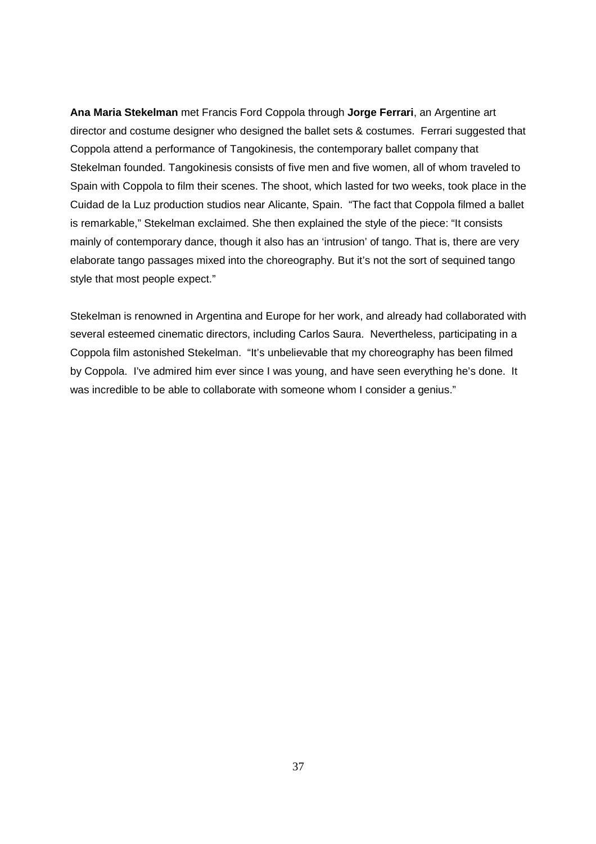**Ana Maria Stekelman** met Francis Ford Coppola through **Jorge Ferrari**, an Argentine art director and costume designer who designed the ballet sets & costumes. Ferrari suggested that Coppola attend a performance of Tangokinesis, the contemporary ballet company that Stekelman founded. Tangokinesis consists of five men and five women, all of whom traveled to Spain with Coppola to film their scenes. The shoot, which lasted for two weeks, took place in the Cuidad de la Luz production studios near Alicante, Spain. "The fact that Coppola filmed a ballet is remarkable," Stekelman exclaimed. She then explained the style of the piece: "It consists mainly of contemporary dance, though it also has an 'intrusion' of tango. That is, there are very elaborate tango passages mixed into the choreography. But it's not the sort of sequined tango style that most people expect."

Stekelman is renowned in Argentina and Europe for her work, and already had collaborated with several esteemed cinematic directors, including Carlos Saura. Nevertheless, participating in a Coppola film astonished Stekelman. "It's unbelievable that my choreography has been filmed by Coppola. I've admired him ever since I was young, and have seen everything he's done. It was incredible to be able to collaborate with someone whom I consider a genius."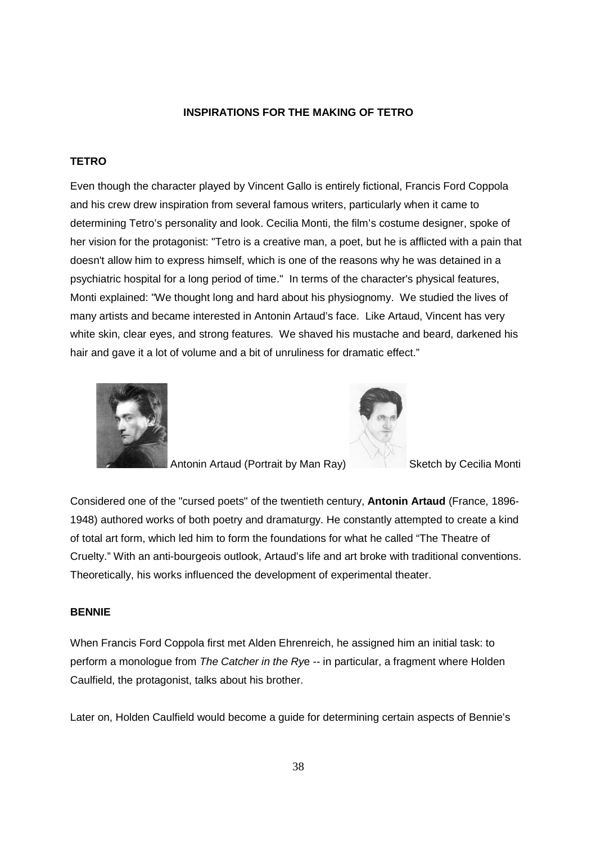# **INSPIRATIONS FOR THE MAKING OF TETRO**

# **TETRO**

Even though the character played by Vincent Gallo is entirely fictional, Francis Ford Coppola and his crew drew inspiration from several famous writers, particularly when it came to determining Tetro's personality and look. Cecilia Monti, the film's costume designer, spoke of her vision for the protagonist: "Tetro is a creative man, a poet, but he is afflicted with a pain that doesn't allow him to express himself, which is one of the reasons why he was detained in a psychiatric hospital for a long period of time." In terms of the character's physical features, Monti explained: "We thought long and hard about his physiognomy. We studied the lives of many artists and became interested in Antonin Artaud's face. Like Artaud, Vincent has very white skin, clear eyes, and strong features. We shaved his mustache and beard, darkened his hair and gave it a lot of volume and a bit of unruliness for dramatic effect."





Antonin Artaud (Portrait by Man Ray) Sketch by Cecilia Monti

Considered one of the "cursed poets" of the twentieth century, **Antonin Artaud** (France, 1896- 1948) authored works of both poetry and dramaturgy. He constantly attempted to create a kind of total art form, which led him to form the foundations for what he called "The Theatre of Cruelty." With an anti-bourgeois outlook, Artaud's life and art broke with traditional conventions. Theoretically, his works influenced the development of experimental theater.

# **BENNIE**

When Francis Ford Coppola first met Alden Ehrenreich, he assigned him an initial task: to perform a monologue from The Catcher in the Rye -- in particular, a fragment where Holden Caulfield, the protagonist, talks about his brother.

Later on, Holden Caulfield would become a guide for determining certain aspects of Bennie's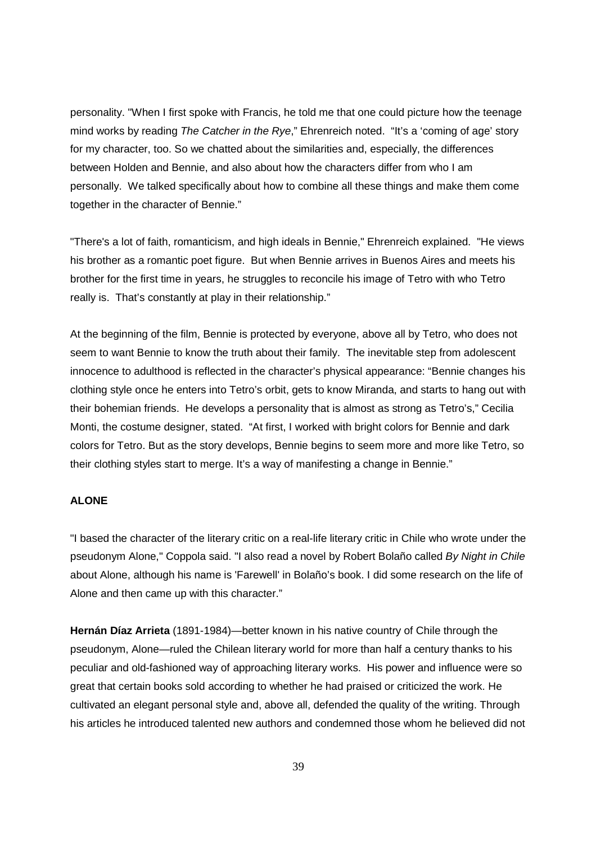personality. "When I first spoke with Francis, he told me that one could picture how the teenage mind works by reading The Catcher in the Rye," Ehrenreich noted. "It's a 'coming of age' story for my character, too. So we chatted about the similarities and, especially, the differences between Holden and Bennie, and also about how the characters differ from who I am personally. We talked specifically about how to combine all these things and make them come together in the character of Bennie."

"There's a lot of faith, romanticism, and high ideals in Bennie," Ehrenreich explained. "He views his brother as a romantic poet figure. But when Bennie arrives in Buenos Aires and meets his brother for the first time in years, he struggles to reconcile his image of Tetro with who Tetro really is. That's constantly at play in their relationship."

At the beginning of the film, Bennie is protected by everyone, above all by Tetro, who does not seem to want Bennie to know the truth about their family. The inevitable step from adolescent innocence to adulthood is reflected in the character's physical appearance: "Bennie changes his clothing style once he enters into Tetro's orbit, gets to know Miranda, and starts to hang out with their bohemian friends. He develops a personality that is almost as strong as Tetro's," Cecilia Monti, the costume designer, stated. "At first, I worked with bright colors for Bennie and dark colors for Tetro. But as the story develops, Bennie begins to seem more and more like Tetro, so their clothing styles start to merge. It's a way of manifesting a change in Bennie."

# **ALONE**

"I based the character of the literary critic on a real-life literary critic in Chile who wrote under the pseudonym Alone," Coppola said. "I also read a novel by Robert Bolaño called By Night in Chile about Alone, although his name is 'Farewell' in Bolaño's book. I did some research on the life of Alone and then came up with this character."

**Hernán Díaz Arrieta** (1891-1984)—better known in his native country of Chile through the pseudonym, Alone—ruled the Chilean literary world for more than half a century thanks to his peculiar and old-fashioned way of approaching literary works. His power and influence were so great that certain books sold according to whether he had praised or criticized the work. He cultivated an elegant personal style and, above all, defended the quality of the writing. Through his articles he introduced talented new authors and condemned those whom he believed did not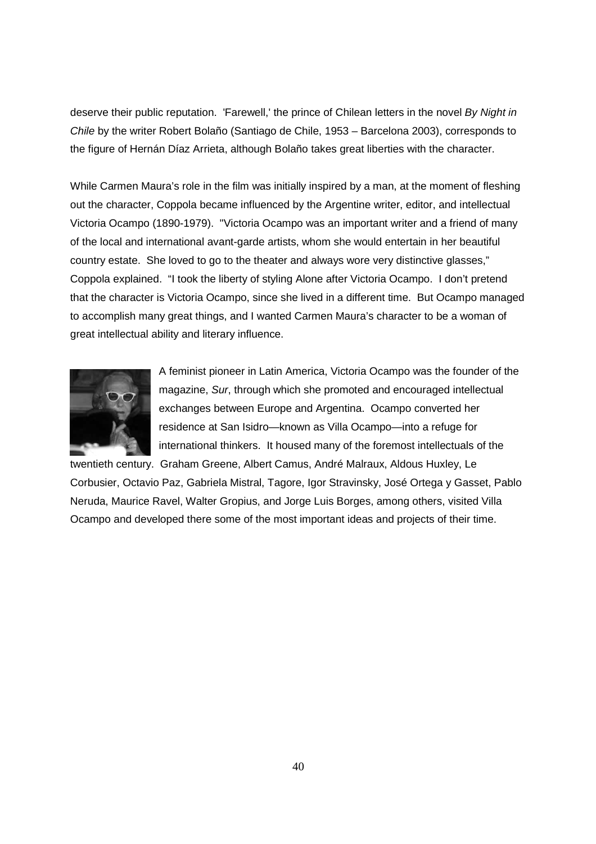deserve their public reputation. 'Farewell,' the prince of Chilean letters in the novel By Night in Chile by the writer Robert Bolaño (Santiago de Chile, 1953 – Barcelona 2003), corresponds to the figure of Hernán Díaz Arrieta, although Bolaño takes great liberties with the character.

While Carmen Maura's role in the film was initially inspired by a man, at the moment of fleshing out the character, Coppola became influenced by the Argentine writer, editor, and intellectual Victoria Ocampo (1890-1979). "Victoria Ocampo was an important writer and a friend of many of the local and international avant-garde artists, whom she would entertain in her beautiful country estate. She loved to go to the theater and always wore very distinctive glasses," Coppola explained. "I took the liberty of styling Alone after Victoria Ocampo. I don't pretend that the character is Victoria Ocampo, since she lived in a different time. But Ocampo managed to accomplish many great things, and I wanted Carmen Maura's character to be a woman of great intellectual ability and literary influence.



A feminist pioneer in Latin America, Victoria Ocampo was the founder of the magazine, Sur, through which she promoted and encouraged intellectual exchanges between Europe and Argentina. Ocampo converted her residence at San Isidro—known as Villa Ocampo—into a refuge for international thinkers. It housed many of the foremost intellectuals of the

twentieth century. Graham Greene, Albert Camus, André Malraux, Aldous Huxley, Le Corbusier, Octavio Paz, Gabriela Mistral, Tagore, Igor Stravinsky, José Ortega y Gasset, Pablo Neruda, Maurice Ravel, Walter Gropius, and Jorge Luis Borges, among others, visited Villa Ocampo and developed there some of the most important ideas and projects of their time.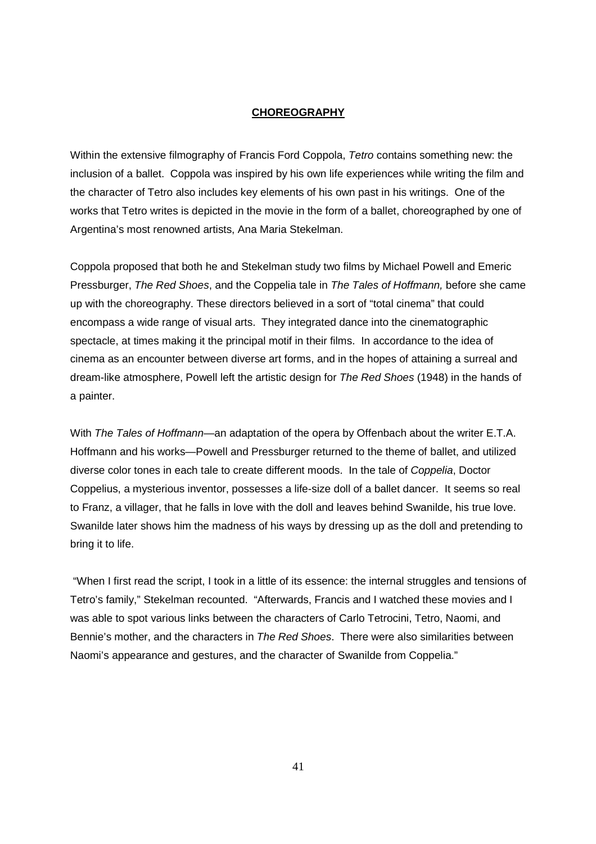### **CHOREOGRAPHY**

Within the extensive filmography of Francis Ford Coppola, Tetro contains something new: the inclusion of a ballet. Coppola was inspired by his own life experiences while writing the film and the character of Tetro also includes key elements of his own past in his writings. One of the works that Tetro writes is depicted in the movie in the form of a ballet, choreographed by one of Argentina's most renowned artists, Ana Maria Stekelman.

Coppola proposed that both he and Stekelman study two films by Michael Powell and Emeric Pressburger, The Red Shoes, and the Coppelia tale in The Tales of Hoffmann, before she came up with the choreography. These directors believed in a sort of "total cinema" that could encompass a wide range of visual arts. They integrated dance into the cinematographic spectacle, at times making it the principal motif in their films. In accordance to the idea of cinema as an encounter between diverse art forms, and in the hopes of attaining a surreal and dream-like atmosphere, Powell left the artistic design for The Red Shoes (1948) in the hands of a painter.

With The Tales of Hoffmann—an adaptation of the opera by Offenbach about the writer E.T.A. Hoffmann and his works—Powell and Pressburger returned to the theme of ballet, and utilized diverse color tones in each tale to create different moods. In the tale of Coppelia, Doctor Coppelius, a mysterious inventor, possesses a life-size doll of a ballet dancer. It seems so real to Franz, a villager, that he falls in love with the doll and leaves behind Swanilde, his true love. Swanilde later shows him the madness of his ways by dressing up as the doll and pretending to bring it to life.

 "When I first read the script, I took in a little of its essence: the internal struggles and tensions of Tetro's family," Stekelman recounted. "Afterwards, Francis and I watched these movies and I was able to spot various links between the characters of Carlo Tetrocini, Tetro, Naomi, and Bennie's mother, and the characters in The Red Shoes. There were also similarities between Naomi's appearance and gestures, and the character of Swanilde from Coppelia."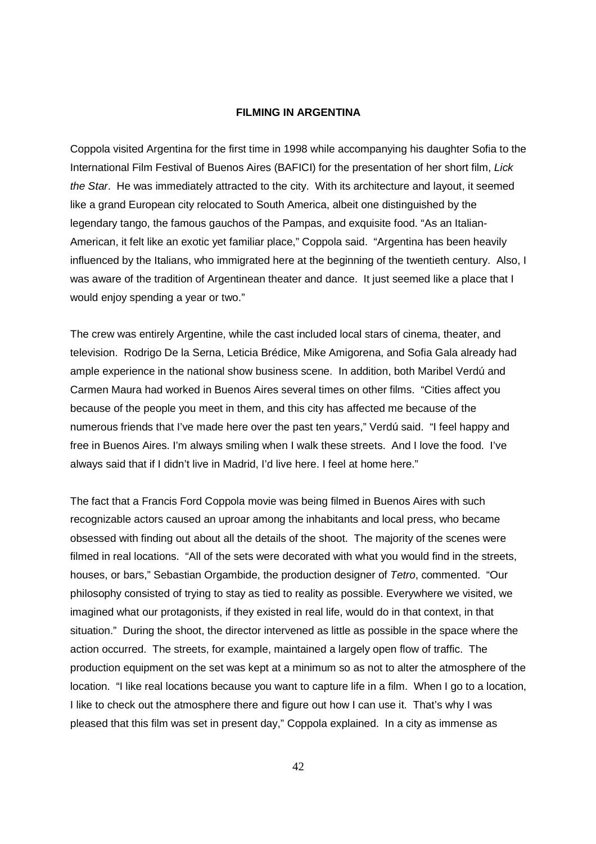### **FILMING IN ARGENTINA**

Coppola visited Argentina for the first time in 1998 while accompanying his daughter Sofia to the International Film Festival of Buenos Aires (BAFICI) for the presentation of her short film, Lick the Star. He was immediately attracted to the city. With its architecture and layout, it seemed like a grand European city relocated to South America, albeit one distinguished by the legendary tango, the famous gauchos of the Pampas, and exquisite food. "As an Italian-American, it felt like an exotic yet familiar place," Coppola said. "Argentina has been heavily influenced by the Italians, who immigrated here at the beginning of the twentieth century. Also, I was aware of the tradition of Argentinean theater and dance. It just seemed like a place that I would enjoy spending a year or two."

The crew was entirely Argentine, while the cast included local stars of cinema, theater, and television. Rodrigo De la Serna, Leticia Brédice, Mike Amigorena, and Sofia Gala already had ample experience in the national show business scene. In addition, both Maribel Verdú and Carmen Maura had worked in Buenos Aires several times on other films. "Cities affect you because of the people you meet in them, and this city has affected me because of the numerous friends that I've made here over the past ten years," Verdú said. "I feel happy and free in Buenos Aires. I'm always smiling when I walk these streets. And I love the food. I've always said that if I didn't live in Madrid, I'd live here. I feel at home here."

The fact that a Francis Ford Coppola movie was being filmed in Buenos Aires with such recognizable actors caused an uproar among the inhabitants and local press, who became obsessed with finding out about all the details of the shoot. The majority of the scenes were filmed in real locations. "All of the sets were decorated with what you would find in the streets, houses, or bars," Sebastian Orgambide, the production designer of Tetro, commented. "Our philosophy consisted of trying to stay as tied to reality as possible. Everywhere we visited, we imagined what our protagonists, if they existed in real life, would do in that context, in that situation." During the shoot, the director intervened as little as possible in the space where the action occurred. The streets, for example, maintained a largely open flow of traffic. The production equipment on the set was kept at a minimum so as not to alter the atmosphere of the location. "I like real locations because you want to capture life in a film. When I go to a location, I like to check out the atmosphere there and figure out how I can use it. That's why I was pleased that this film was set in present day," Coppola explained. In a city as immense as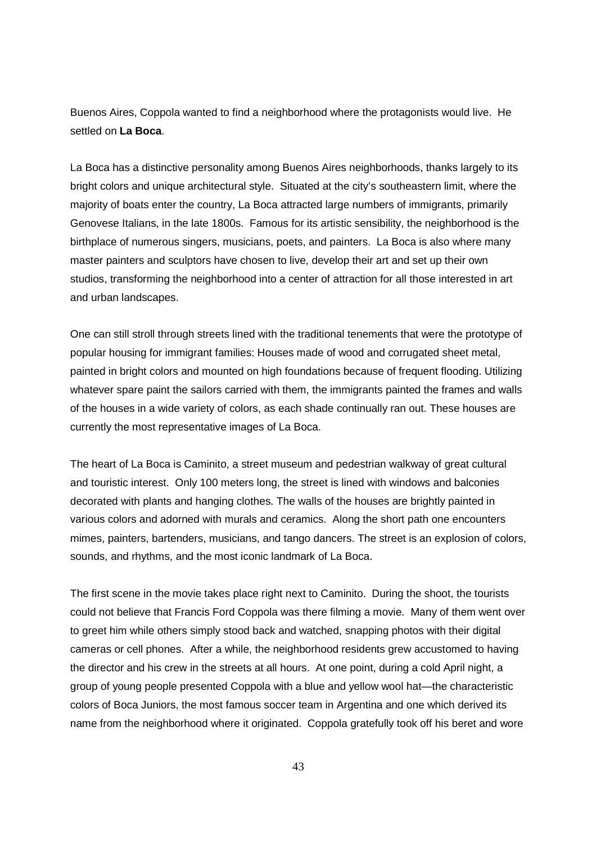Buenos Aires, Coppola wanted to find a neighborhood where the protagonists would live. He settled on **La Boca**.

La Boca has a distinctive personality among Buenos Aires neighborhoods, thanks largely to its bright colors and unique architectural style. Situated at the city's southeastern limit, where the majority of boats enter the country, La Boca attracted large numbers of immigrants, primarily Genovese Italians, in the late 1800s. Famous for its artistic sensibility, the neighborhood is the birthplace of numerous singers, musicians, poets, and painters. La Boca is also where many master painters and sculptors have chosen to live, develop their art and set up their own studios, transforming the neighborhood into a center of attraction for all those interested in art and urban landscapes.

One can still stroll through streets lined with the traditional tenements that were the prototype of popular housing for immigrant families: Houses made of wood and corrugated sheet metal, painted in bright colors and mounted on high foundations because of frequent flooding. Utilizing whatever spare paint the sailors carried with them, the immigrants painted the frames and walls of the houses in a wide variety of colors, as each shade continually ran out. These houses are currently the most representative images of La Boca.

The heart of La Boca is Caminito, a street museum and pedestrian walkway of great cultural and touristic interest. Only 100 meters long, the street is lined with windows and balconies decorated with plants and hanging clothes. The walls of the houses are brightly painted in various colors and adorned with murals and ceramics. Along the short path one encounters mimes, painters, bartenders, musicians, and tango dancers. The street is an explosion of colors, sounds, and rhythms, and the most iconic landmark of La Boca.

The first scene in the movie takes place right next to Caminito. During the shoot, the tourists could not believe that Francis Ford Coppola was there filming a movie. Many of them went over to greet him while others simply stood back and watched, snapping photos with their digital cameras or cell phones. After a while, the neighborhood residents grew accustomed to having the director and his crew in the streets at all hours. At one point, during a cold April night, a group of young people presented Coppola with a blue and yellow wool hat—the characteristic colors of Boca Juniors, the most famous soccer team in Argentina and one which derived its name from the neighborhood where it originated. Coppola gratefully took off his beret and wore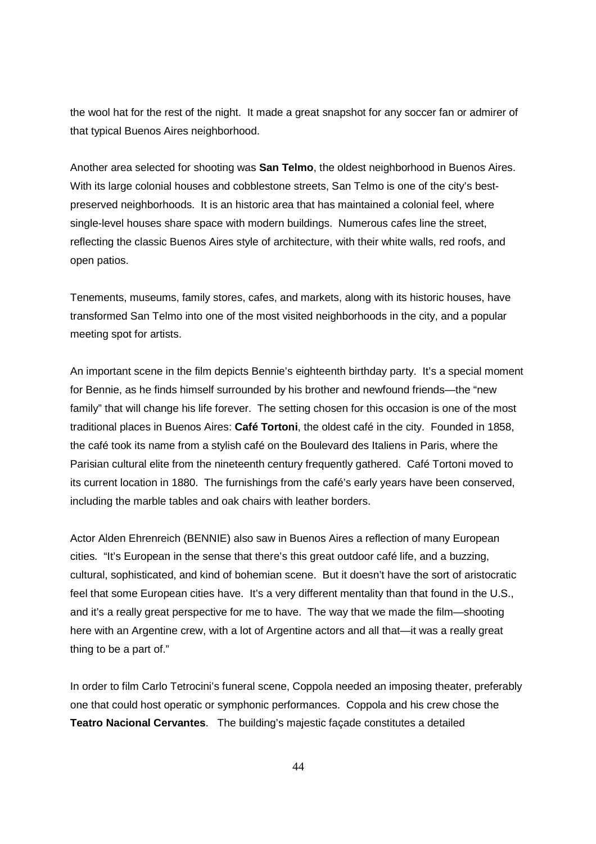the wool hat for the rest of the night. It made a great snapshot for any soccer fan or admirer of that typical Buenos Aires neighborhood.

Another area selected for shooting was **San Telmo**, the oldest neighborhood in Buenos Aires. With its large colonial houses and cobblestone streets, San Telmo is one of the city's bestpreserved neighborhoods. It is an historic area that has maintained a colonial feel, where single-level houses share space with modern buildings. Numerous cafes line the street, reflecting the classic Buenos Aires style of architecture, with their white walls, red roofs, and open patios.

Tenements, museums, family stores, cafes, and markets, along with its historic houses, have transformed San Telmo into one of the most visited neighborhoods in the city, and a popular meeting spot for artists.

An important scene in the film depicts Bennie's eighteenth birthday party. It's a special moment for Bennie, as he finds himself surrounded by his brother and newfound friends—the "new family" that will change his life forever. The setting chosen for this occasion is one of the most traditional places in Buenos Aires: **Café Tortoni**, the oldest café in the city. Founded in 1858, the café took its name from a stylish café on the Boulevard des Italiens in Paris, where the Parisian cultural elite from the nineteenth century frequently gathered. Café Tortoni moved to its current location in 1880. The furnishings from the café's early years have been conserved, including the marble tables and oak chairs with leather borders.

Actor Alden Ehrenreich (BENNIE) also saw in Buenos Aires a reflection of many European cities. "It's European in the sense that there's this great outdoor café life, and a buzzing, cultural, sophisticated, and kind of bohemian scene. But it doesn't have the sort of aristocratic feel that some European cities have. It's a very different mentality than that found in the U.S., and it's a really great perspective for me to have. The way that we made the film—shooting here with an Argentine crew, with a lot of Argentine actors and all that—it was a really great thing to be a part of."

In order to film Carlo Tetrocini's funeral scene, Coppola needed an imposing theater, preferably one that could host operatic or symphonic performances. Coppola and his crew chose the **Teatro Nacional Cervantes**. The building's majestic façade constitutes a detailed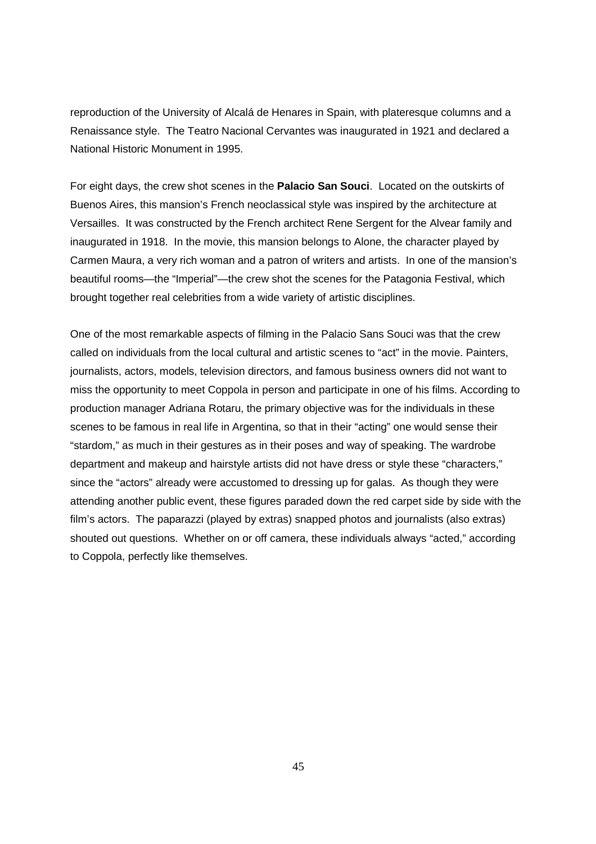reproduction of the University of Alcalá de Henares in Spain, with plateresque columns and a Renaissance style. The Teatro Nacional Cervantes was inaugurated in 1921 and declared a National Historic Monument in 1995.

For eight days, the crew shot scenes in the **Palacio San Souci**. Located on the outskirts of Buenos Aires, this mansion's French neoclassical style was inspired by the architecture at Versailles. It was constructed by the French architect Rene Sergent for the Alvear family and inaugurated in 1918. In the movie, this mansion belongs to Alone, the character played by Carmen Maura, a very rich woman and a patron of writers and artists. In one of the mansion's beautiful rooms—the "Imperial"—the crew shot the scenes for the Patagonia Festival, which brought together real celebrities from a wide variety of artistic disciplines.

One of the most remarkable aspects of filming in the Palacio Sans Souci was that the crew called on individuals from the local cultural and artistic scenes to "act" in the movie. Painters, journalists, actors, models, television directors, and famous business owners did not want to miss the opportunity to meet Coppola in person and participate in one of his films. According to production manager Adriana Rotaru, the primary objective was for the individuals in these scenes to be famous in real life in Argentina, so that in their "acting" one would sense their "stardom," as much in their gestures as in their poses and way of speaking. The wardrobe department and makeup and hairstyle artists did not have dress or style these "characters," since the "actors" already were accustomed to dressing up for galas. As though they were attending another public event, these figures paraded down the red carpet side by side with the film's actors. The paparazzi (played by extras) snapped photos and journalists (also extras) shouted out questions. Whether on or off camera, these individuals always "acted," according to Coppola, perfectly like themselves.

45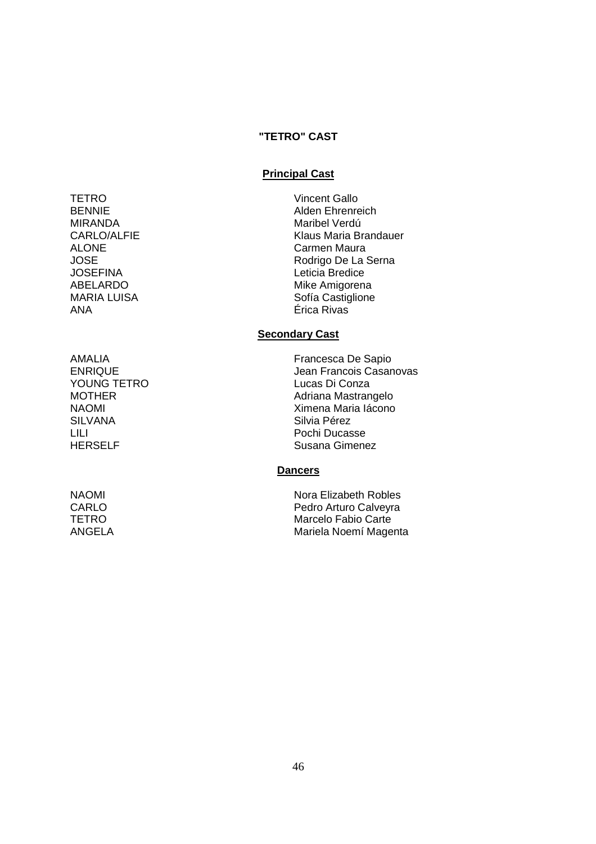# **"TETRO" CAST**

### **Principal Cast**

- MIRANDA Maribel Verdú JOSEFINA Leticia Bredice ANA Érica Rivas
- YOUNG TETRO LILI Pochi Ducasse

TETRO Vincent Gallo BENNIE Alden Ehrenreich CARLO/ALFIE Klaus Maria Brandauer ALONE Carmen Maura Rodrigo De La Serna ABELARDO Mike Amigorena Sofía Castiglione

# **Secondary Cast**

AMALIA Francesca De Sapio Jean Francois Casanovas<br>Lucas Di Conza MOTHER Adriana Mastrangelo NAOMI Ximena Maria Iácono<br>SILVANA SILVANA SILVANA Silvia Pérez Susana Gimenez

# **Dancers**

NAOMI NAOMI Nora Elizabeth Robles CARLO **Pedro Arturo Calveyra** TETRO Marcelo Fabio Carte ANGELA Mariela Noemí Magenta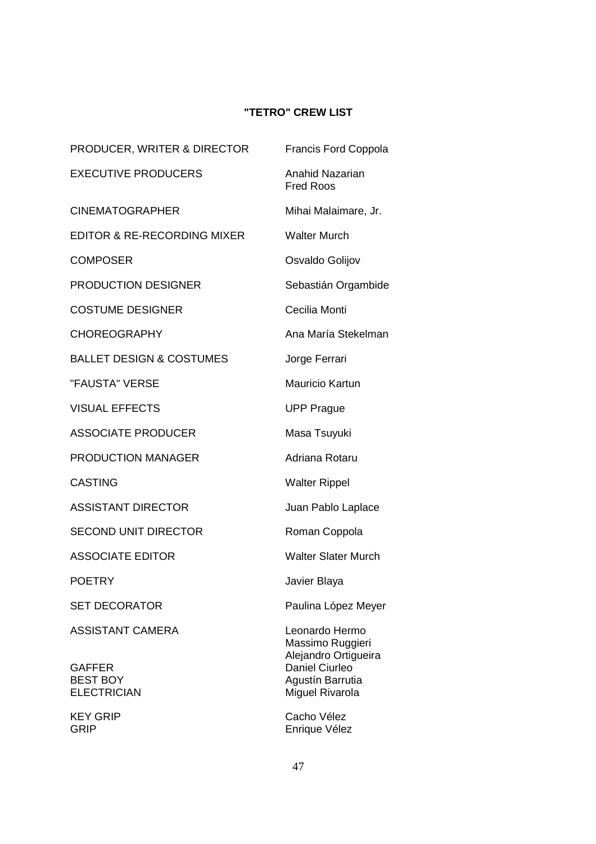# **"TETRO" CREW LIST**

| <b>PRODUCER, WRITER &amp; DIRECTOR</b>                                            | <b>Francis Ford Coppola</b>                                                                                         |
|-----------------------------------------------------------------------------------|---------------------------------------------------------------------------------------------------------------------|
| <b>EXECUTIVE PRODUCERS</b>                                                        | <b>Anahid Nazarian</b><br><b>Fred Roos</b>                                                                          |
| <b>CINEMATOGRAPHER</b>                                                            | Mihai Malaimare, Jr.                                                                                                |
| EDITOR & RE-RECORDING MIXER                                                       | <b>Walter Murch</b>                                                                                                 |
| <b>COMPOSER</b>                                                                   | Osvaldo Golijov                                                                                                     |
| <b>PRODUCTION DESIGNER</b>                                                        | Sebastián Orgambide                                                                                                 |
| <b>COSTUME DESIGNER</b>                                                           | Cecilia Monti                                                                                                       |
| <b>CHOREOGRAPHY</b>                                                               | Ana María Stekelman                                                                                                 |
| <b>BALLET DESIGN &amp; COSTUMES</b>                                               | Jorge Ferrari                                                                                                       |
| "FAUSTA" VERSE                                                                    | <b>Mauricio Kartun</b>                                                                                              |
| <b>VISUAL EFFECTS</b>                                                             | <b>UPP Prague</b>                                                                                                   |
| <b>ASSOCIATE PRODUCER</b>                                                         | Masa Tsuyuki                                                                                                        |
| <b>PRODUCTION MANAGER</b>                                                         | Adriana Rotaru                                                                                                      |
| <b>CASTING</b>                                                                    | <b>Walter Rippel</b>                                                                                                |
| <b>ASSISTANT DIRECTOR</b>                                                         | Juan Pablo Laplace                                                                                                  |
| <b>SECOND UNIT DIRECTOR</b>                                                       | Roman Coppola                                                                                                       |
| <b>ASSOCIATE EDITOR</b>                                                           | <b>Walter Slater Murch</b>                                                                                          |
| <b>POETRY</b>                                                                     | Javier Blaya                                                                                                        |
| <b>SET DECORATOR</b>                                                              | Paulina López Meyer                                                                                                 |
| <b>ASSISTANT CAMERA</b><br><b>GAFFER</b><br><b>BEST BOY</b><br><b>ELECTRICIAN</b> | Leonardo Hermo<br>Massimo Ruggieri<br>Alejandro Ortigueira<br>Daniel Ciurleo<br>Agustín Barrutia<br>Miguel Rivarola |
|                                                                                   |                                                                                                                     |

KEY GRIP Cacho Vélez GRIP Enrique Vélez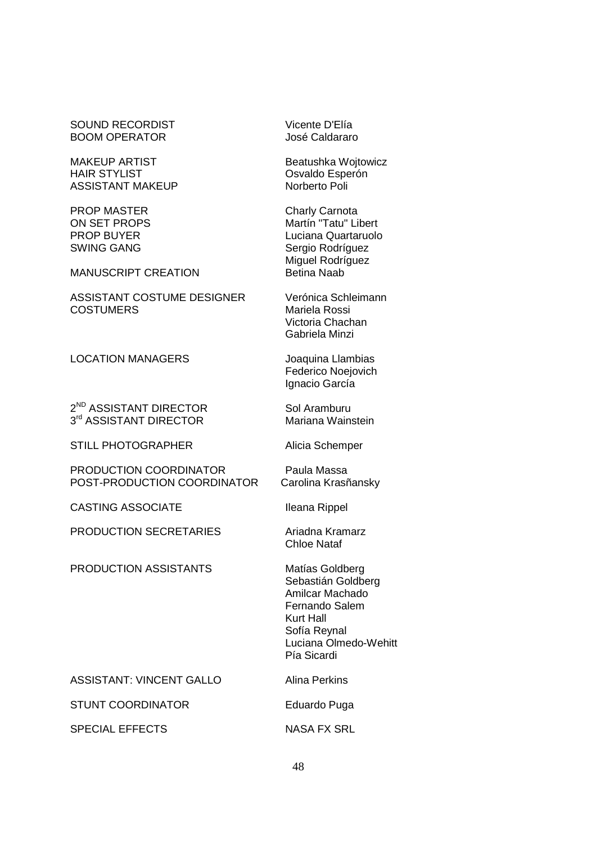### SOUND RECORDIST Vicente D'Elía BOOM OPERATOR José Caldararo

MAKEUP ARTIST Beatushka Wojtowicz HAIR STYLIST **CONSUMING CONTROLLER CONTROLLER** ASSISTANT MAKEUP Norberto Poli

PROP MASTER Charly Carnota

### MANUSCRIPT CREATION Betina Naab

ASSISTANT COSTUME DESIGNER Verónica Schleimann COSTUMERS Mariela Rossi

LOCATION MANAGERS Joaquina Llambias

2<sup>ND</sup> ASSISTANT DIRECTOR Sol Aramburu 3<sup>rd</sup> ASSISTANT DIRECTOR Mariana Wainstein

STILL PHOTOGRAPHER Alicia Schemper

PRODUCTION COORDINATOR Paula Massa POST-PRODUCTION COORDINATOR Carolina Krasñansky

CASTING ASSOCIATE Ileana Rippel

PRODUCTION SECRETARIES Ariadna Kramarz

PRODUCTION ASSISTANTS Matías Goldberg

ON SET PROPS Martín "Tatu" Libert PROP BUYER Luciana Quartaruolo SWING GANG SERGIO RODER SERGIO RODERATION SERGIO RODERATION SERGIO RODERATION SERGIO RODERATION SERGIO RODERATION SE Miguel Rodríguez

> Victoria Chachan Gabriela Minzi

Federico Noejovich Ignacio García

Chloe Nataf

Sebastián Goldberg Amilcar Machado Fernando Salem Kurt Hall Sofía Reynal Luciana Olmedo-Wehitt Pía Sicardi

ASSISTANT: VINCENT GALLO Alina Perkins

STUNT COORDINATOR Eduardo Puga

SPECIAL EFFECTS NASA FX SRL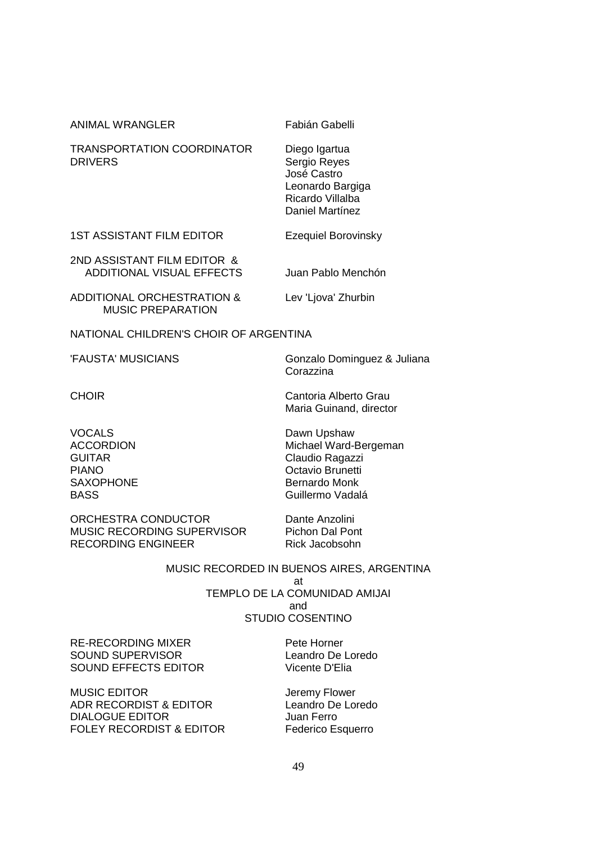| <b>ANIMAL WRANGLER</b>                                          | Fabián Gabelli                                                                                          |
|-----------------------------------------------------------------|---------------------------------------------------------------------------------------------------------|
| <b>TRANSPORTATION COORDINATOR</b><br><b>DRIVERS</b>             | Diego Igartua<br>Sergio Reyes<br>José Castro<br>Leonardo Bargiga<br>Ricardo Villalba<br>Daniel Martínez |
| <b>1ST ASSISTANT FILM EDITOR</b>                                | <b>Ezequiel Borovinsky</b>                                                                              |
| 2ND ASSISTANT FILM EDITOR &<br><b>ADDITIONAL VISUAL EFFECTS</b> | Juan Pablo Menchón                                                                                      |
| ADDITIONAL ORCHESTRATION &<br><b>MUSIC PREPARATION</b>          | Lev 'Ljova' Zhurbin                                                                                     |

NATIONAL CHILDREN'S CHOIR OF ARGENTINA

'FAUSTA' MUSICIANS Gonzalo Dominguez & Juliana Corazzina

CHOIR **CHOIR**CHOIR
CHOIR
CHOIR
CHOIR
CHOIR
CHOIR
CHOIR
CHOIR
CHOIR
CHOIR
CHOIR
CHOIR
CHOIR
CHOIR
CHOIR
CHOIR
CHOIR
CHOIR
CHOIR
CHOIR
CHOIR
CHOIR
CHOIR
CHOIR
CHOIR
CHOIR
CHOIR

VOCALS<br>ACCORDION Dawn Upshaw<br>Michael Ward-I

Maria Guinand, director

ORCHESTRA CONDUCTOR Dante Anzolini MUSIC RECORDING SUPERVISOR Pichon Dal Pont<br>RECORDING ENGINEER Rick Jacobsohn RECORDING ENGINEER

Michael Ward-Bergeman GUITAR Claudio Ragazzi PIANO Octavio Brunetti SAXOPHONE Bernardo Monk BASS Guillermo Vadalá

MUSIC RECORDED IN BUENOS AIRES, ARGENTINA at TEMPLO DE LA COMUNIDAD AMIJAI and STUDIO COSENTINO

RE-RECORDING MIXER Pete Horner SOUND SUPERVISOR
SOUND AURERVISOR
SOUND AURERVISOR SOUND EFFECTS EDITOR Vicente D'Elia

MUSIC EDITOR Jeremy Flower ADR RECORDIST & EDITOR Leandro De Loredo DIALOGUE EDITOR Juan Ferro FOLEY RECORDIST & EDITOR Federico Esquerro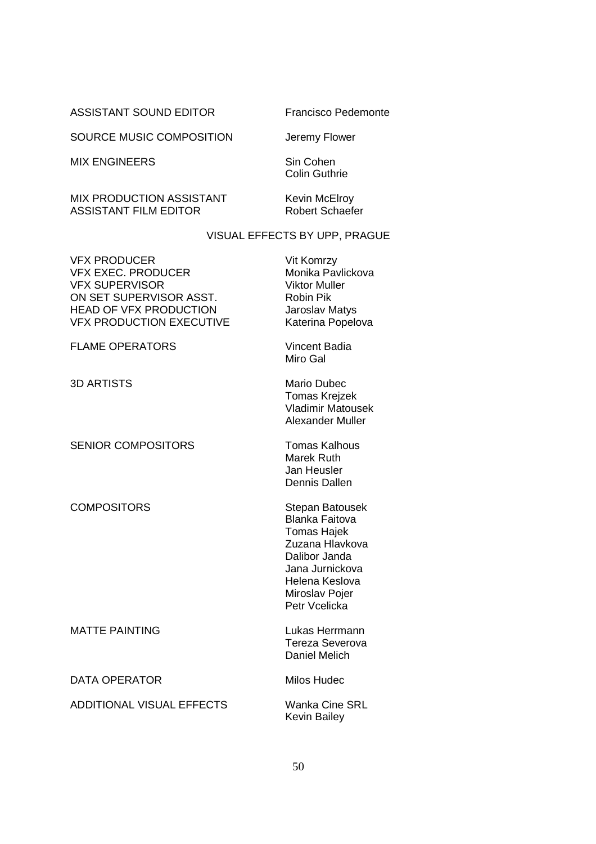ASSISTANT SOUND EDITOR Francisco Pedemonte

SOURCE MUSIC COMPOSITION Jeremy Flower

MIX ENGINEERS Sin Cohen

Colin Guthrie

MIX PRODUCTION ASSISTANT Kevin McElroy<br>ASSISTANT FILM EDITOR Robert Schaefer ASSISTANT FILM EDITOR

# VISUAL EFFECTS BY UPP, PRAGUE

| <b>VFX PRODUCER</b><br><b>VFX EXEC. PRODUCER</b><br><b>VFX SUPERVISOR</b><br>ON SET SUPERVISOR ASST.<br><b>HEAD OF VFX PRODUCTION</b><br><b>VFX PRODUCTION EXECUTIVE</b> | Vit Komrzy<br>Monika Pavlickova<br><b>Viktor Muller</b><br><b>Robin Pik</b><br>Jaroslav Matys<br>Katerina Popelova                                                         |
|--------------------------------------------------------------------------------------------------------------------------------------------------------------------------|----------------------------------------------------------------------------------------------------------------------------------------------------------------------------|
| <b>FLAME OPERATORS</b>                                                                                                                                                   | Vincent Badia<br>Miro Gal                                                                                                                                                  |
| <b>3D ARTISTS</b>                                                                                                                                                        | <b>Mario Dubec</b><br><b>Tomas Krejzek</b><br><b>Vladimir Matousek</b><br><b>Alexander Muller</b>                                                                          |
| <b>SENIOR COMPOSITORS</b>                                                                                                                                                | <b>Tomas Kalhous</b><br><b>Marek Ruth</b><br>Jan Heusler<br>Dennis Dallen                                                                                                  |
| <b>COMPOSITORS</b>                                                                                                                                                       | Stepan Batousek<br><b>Blanka Faitova</b><br><b>Tomas Hajek</b><br>Zuzana Hlavkova<br>Dalibor Janda<br>Jana Jurnickova<br>Helena Keslova<br>Miroslav Pojer<br>Petr Vcelicka |
| <b>MATTE PAINTING</b>                                                                                                                                                    | Lukas Herrmann<br>Tereza Severova<br><b>Daniel Melich</b>                                                                                                                  |
| <b>DATA OPERATOR</b>                                                                                                                                                     | <b>Milos Hudec</b>                                                                                                                                                         |
| <b>ADDITIONAL VISUAL EFFECTS</b>                                                                                                                                         | <b>Wanka Cine SRL</b><br><b>Kevin Bailey</b>                                                                                                                               |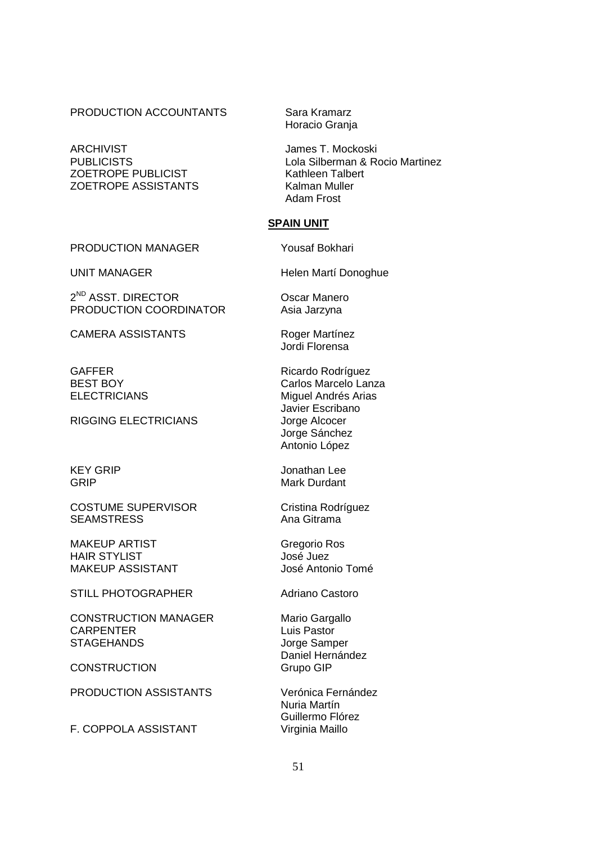PRODUCTION ACCOUNTANTS Sara Kramarz

ARCHIVIST **In the CONTROLLING CONTROL** James T. Mockoski ZOETROPE PUBLICIST Kathleen Talbert ZOETROPE ASSISTANTS Kalman Muller

PRODUCTION MANAGER Yousaf Bokhari

2<sup>ND</sup> ASST. DIRECTOR **CONTACT CONTROL** Oscar Manero PRODUCTION COORDINATOR Asia Jarzyna

CAMERA ASSISTANTS Roger Martínez

RIGGING ELECTRICIANS Jorge Alcocer

COSTUME SUPERVISOR Cristina Rodríguez SEAMSTRESS Ana Gitrama

MAKEUP ARTIST Gregorio Ros HAIR STYLIST José Juez MAKEUP ASSISTANT José Antonio Tomé

STILL PHOTOGRAPHER Adriano Castoro

CONSTRUCTION MANAGER Mario Gargallo CARPENTER Luis Pastor STAGEHANDS Jorge Samper

CONSTRUCTION Grupo GIP

PRODUCTION ASSISTANTS Verónica Fernández

F. COPPOLA ASSISTANT Virginia Maillo

Horacio Granja

PUBLICISTS Lola Silberman & Rocio Martinez Adam Frost

# **SPAIN UNIT**

UNIT MANAGER Helen Martí Donoghue

Jordi Florensa

GAFFER Ricardo Rodríguez BEST BOY Carlos Marcelo Lanza ELECTRICIANS Miquel Andrés Arias Javier Escribano Jorge Sánchez Antonio López

KEY GRIP **SEXET SEXET SOME** Jonathan Lee GRIP Mark Durdant

Daniel Hernández

 Nuria Martín Guillermo Flórez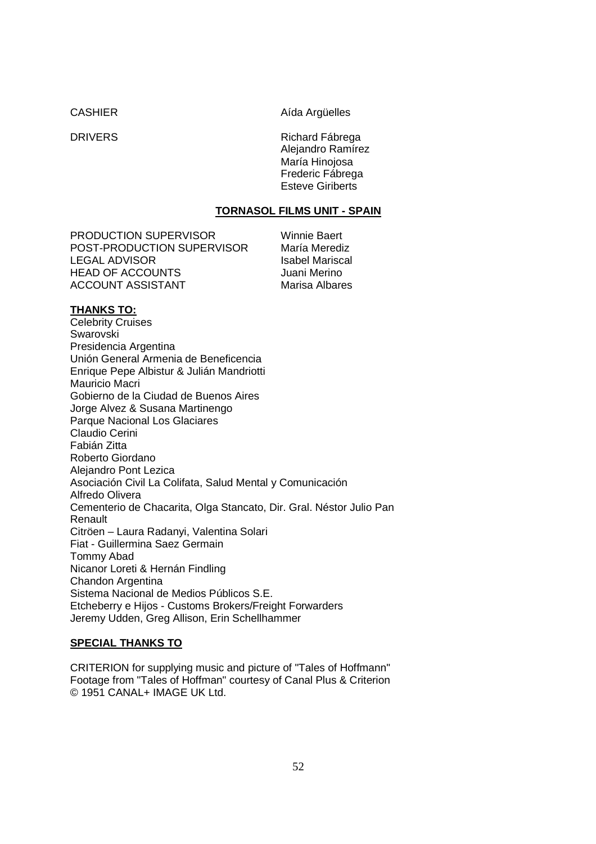CASHIER Aída Argüelles

DRIVERS Richard Fábrega Alejandro Ramírez María Hinojosa Frederic Fábrega Esteve Giriberts

# **TORNASOL FILMS UNIT - SPAIN**

PRODUCTION SUPERVISOR Winnie Baert POST-PRODUCTION SUPERVISOR María Merediz LEGAL ADVISOR<br>
HEAD OF ACCOUNTS

HEAD OF ACCOUNTS HEAD OF ACCOUNTS ACCOUNT ASSISTANT Marisa Albares

# **THANKS TO:**

Celebrity Cruises Swarovski Presidencia Argentina Unión General Armenia de Beneficencia Enrique Pepe Albistur & Julián Mandriotti Mauricio Macri Gobierno de la Ciudad de Buenos Aires Jorge Alvez & Susana Martinengo Parque Nacional Los Glaciares Claudio Cerini Fabián Zitta Roberto Giordano Alejandro Pont Lezica Asociación Civil La Colifata, Salud Mental y Comunicación Alfredo Olivera Cementerio de Chacarita, Olga Stancato, Dir. Gral. Néstor Julio Pan Renault Citröen – Laura Radanyi, Valentina Solari Fiat - Guillermina Saez Germain Tommy Abad Nicanor Loreti & Hernán Findling Chandon Argentina Sistema Nacional de Medios Públicos S.E. Etcheberry e Hijos - Customs Brokers/Freight Forwarders Jeremy Udden, Greg Allison, Erin Schellhammer

# **SPECIAL THANKS TO**

CRITERION for supplying music and picture of "Tales of Hoffmann" Footage from "Tales of Hoffman" courtesy of Canal Plus & Criterion © 1951 CANAL+ IMAGE UK Ltd.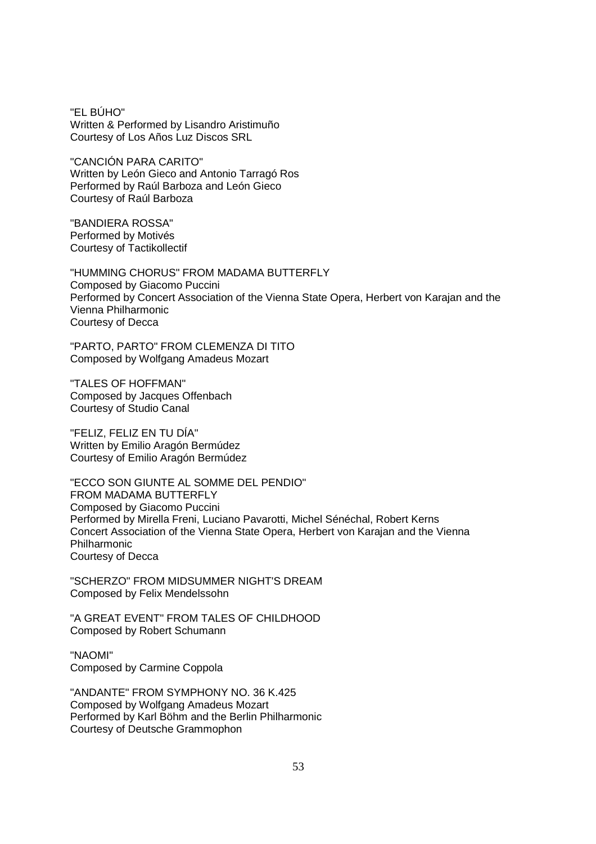"EL BÚHO" Written & Performed by Lisandro Aristimuño Courtesy of Los Años Luz Discos SRL

"CANCIÓN PARA CARITO" Written by León Gieco and Antonio Tarragó Ros Performed by Raúl Barboza and León Gieco Courtesy of Raúl Barboza

"BANDIERA ROSSA" Performed by Motivés Courtesy of Tactikollectif

"HUMMING CHORUS" FROM MADAMA BUTTERFLY Composed by Giacomo Puccini Performed by Concert Association of the Vienna State Opera, Herbert von Karajan and the Vienna Philharmonic Courtesy of Decca

"PARTO, PARTO" FROM CLEMENZA DI TITO Composed by Wolfgang Amadeus Mozart

"TALES OF HOFFMAN" Composed by Jacques Offenbach Courtesy of Studio Canal

"FELIZ, FELIZ EN TU DÍA" Written by Emilio Aragón Bermúdez Courtesy of Emilio Aragón Bermúdez

"ECCO SON GIUNTE AL SOMME DEL PENDIO" FROM MADAMA BUTTERFLY Composed by Giacomo Puccini Performed by Mirella Freni, Luciano Pavarotti, Michel Sénéchal, Robert Kerns Concert Association of the Vienna State Opera, Herbert von Karajan and the Vienna Philharmonic Courtesy of Decca

"SCHERZO" FROM MIDSUMMER NIGHT'S DREAM Composed by Felix Mendelssohn

"A GREAT EVENT" FROM TALES OF CHILDHOOD Composed by Robert Schumann

"NAOMI" Composed by Carmine Coppola

"ANDANTE" FROM SYMPHONY NO. 36 K.425 Composed by Wolfgang Amadeus Mozart Performed by Karl Böhm and the Berlin Philharmonic Courtesy of Deutsche Grammophon